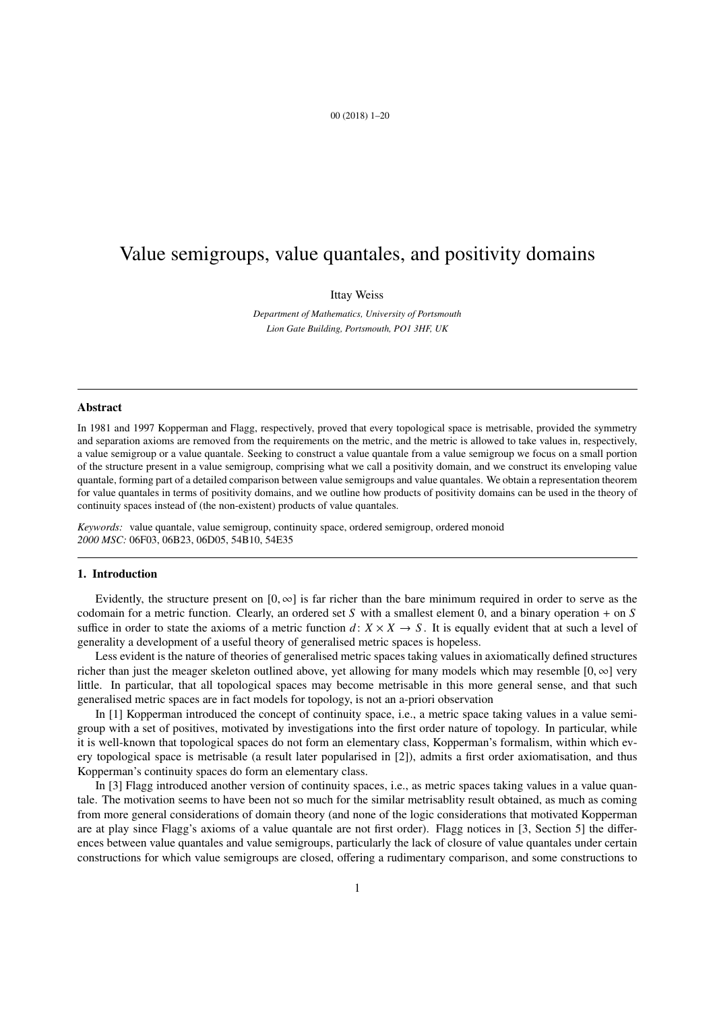## 00 (2018) 1–20

# Value semigroups, value quantales, and positivity domains

## Ittay Weiss

*Department of Mathematics, University of Portsmouth Lion Gate Building, Portsmouth, PO1 3HF, UK*

#### Abstract

In 1981 and 1997 Kopperman and Flagg, respectively, proved that every topological space is metrisable, provided the symmetry and separation axioms are removed from the requirements on the metric, and the metric is allowed to take values in, respectively, a value semigroup or a value quantale. Seeking to construct a value quantale from a value semigroup we focus on a small portion of the structure present in a value semigroup, comprising what we call a positivity domain, and we construct its enveloping value quantale, forming part of a detailed comparison between value semigroups and value quantales. We obtain a representation theorem for value quantales in terms of positivity domains, and we outline how products of positivity domains can be used in the theory of continuity spaces instead of (the non-existent) products of value quantales.

*Keywords:* value quantale, value semigroup, continuity space, ordered semigroup, ordered monoid *2000 MSC:* 06F03, 06B23, 06D05, 54B10, 54E35

# 1. Introduction

Evidently, the structure present on  $[0, \infty]$  is far richer than the bare minimum required in order to serve as the codomain for a metric function. Clearly, an ordered set *S* with a smallest element 0, and a binary operation + on *S* suffice in order to state the axioms of a metric function  $d: X \times X \to S$ . It is equally evident that at such a level of generality a development of a useful theory of generalised metric spaces is hopeless.

Less evident is the nature of theories of generalised metric spaces taking values in axiomatically defined structures richer than just the meager skeleton outlined above, yet allowing for many models which may resemble  $[0, \infty]$  very little. In particular, that all topological spaces may become metrisable in this more general sense, and that such generalised metric spaces are in fact models for topology, is not an a-priori observation

In [1] Kopperman introduced the concept of continuity space, i.e., a metric space taking values in a value semigroup with a set of positives, motivated by investigations into the first order nature of topology. In particular, while it is well-known that topological spaces do not form an elementary class, Kopperman's formalism, within which every topological space is metrisable (a result later popularised in [2]), admits a first order axiomatisation, and thus Kopperman's continuity spaces do form an elementary class.

In [3] Flagg introduced another version of continuity spaces, i.e., as metric spaces taking values in a value quantale. The motivation seems to have been not so much for the similar metrisablity result obtained, as much as coming from more general considerations of domain theory (and none of the logic considerations that motivated Kopperman are at play since Flagg's axioms of a value quantale are not first order). Flagg notices in [3, Section 5] the differences between value quantales and value semigroups, particularly the lack of closure of value quantales under certain constructions for which value semigroups are closed, offering a rudimentary comparison, and some constructions to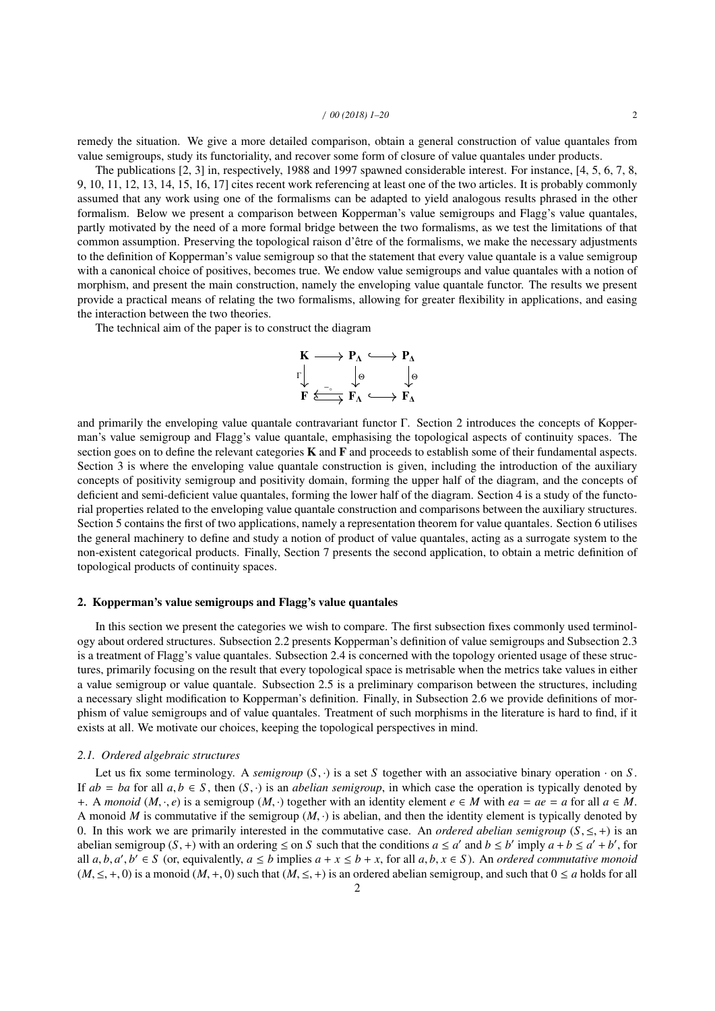remedy the situation. We give a more detailed comparison, obtain a general construction of value quantales from value semigroups, study its functoriality, and recover some form of closure of value quantales under products.

The publications [2, 3] in, respectively, 1988 and 1997 spawned considerable interest. For instance, [4, 5, 6, 7, 8, 9, 10, 11, 12, 13, 14, 15, 16, 17] cites recent work referencing at least one of the two articles. It is probably commonly assumed that any work using one of the formalisms can be adapted to yield analogous results phrased in the other formalism. Below we present a comparison between Kopperman's value semigroups and Flagg's value quantales, partly motivated by the need of a more formal bridge between the two formalisms, as we test the limitations of that common assumption. Preserving the topological raison d'être of the formalisms, we make the necessary adjustments to the definition of Kopperman's value semigroup so that the statement that every value quantale is a value semigroup with a canonical choice of positives, becomes true. We endow value semigroups and value quantales with a notion of morphism, and present the main construction, namely the enveloping value quantale functor. The results we present provide a practical means of relating the two formalisms, allowing for greater flexibility in applications, and easing the interaction between the two theories.

The technical aim of the paper is to construct the diagram

$$
\begin{array}{ccc}\nK & \longrightarrow & P_{\Lambda} & \longrightarrow & P_{\Lambda} \\
\Gamma & \downarrow & & \downarrow \Theta & & \downarrow \Theta \\
F & \xrightarrow{F} & \xrightarrow{F_{\Lambda}} & \longleftarrow & F_{\Lambda}\n\end{array}
$$

and primarily the enveloping value quantale contravariant functor Γ. Section 2 introduces the concepts of Kopperman's value semigroup and Flagg's value quantale, emphasising the topological aspects of continuity spaces. The section goes on to define the relevant categories **K** and **F** and proceeds to establish some of their fundamental aspects. Section 3 is where the enveloping value quantale construction is given, including the introduction of the auxiliary concepts of positivity semigroup and positivity domain, forming the upper half of the diagram, and the concepts of deficient and semi-deficient value quantales, forming the lower half of the diagram. Section 4 is a study of the functorial properties related to the enveloping value quantale construction and comparisons between the auxiliary structures. Section 5 contains the first of two applications, namely a representation theorem for value quantales. Section 6 utilises the general machinery to define and study a notion of product of value quantales, acting as a surrogate system to the non-existent categorical products. Finally, Section 7 presents the second application, to obtain a metric definition of topological products of continuity spaces.

## 2. Kopperman's value semigroups and Flagg's value quantales

In this section we present the categories we wish to compare. The first subsection fixes commonly used terminology about ordered structures. Subsection 2.2 presents Kopperman's definition of value semigroups and Subsection 2.3 is a treatment of Flagg's value quantales. Subsection 2.4 is concerned with the topology oriented usage of these structures, primarily focusing on the result that every topological space is metrisable when the metrics take values in either a value semigroup or value quantale. Subsection 2.5 is a preliminary comparison between the structures, including a necessary slight modification to Kopperman's definition. Finally, in Subsection 2.6 we provide definitions of morphism of value semigroups and of value quantales. Treatment of such morphisms in the literature is hard to find, if it exists at all. We motivate our choices, keeping the topological perspectives in mind.

# *2.1. Ordered algebraic structures*

Let us fix some terminology. A *semigroup*  $(S, \cdot)$  is a set *S* together with an associative binary operation  $\cdot$  on *S*. If  $ab = ba$  for all  $a, b \in S$ , then  $(S, \cdot)$  is an *abelian semigroup*, in which case the operation is typically denoted by +. A *monoid* ( $M$ , ·,  $e$ ) is a semigroup ( $M$ , ·) together with an identity element  $e \in M$  with  $ea = ae = a$  for all  $a \in M$ . A monoid *M* is commutative if the semigroup  $(M, \cdot)$  is abelian, and then the identity element is typically denoted by 0. In this work we are primarily interested in the commutative case. An *ordered abelian semigroup*  $(S, \leq, +)$  is an abelian semigroup  $(S, +)$  with an ordering  $\leq$  on *S* such that the conditions  $a \leq a'$  and  $b \leq b'$  imply  $a + b \leq a' + b'$ , for all *a*  $b, a'$ ,  $b' \in S$  (or equivalently  $a \leq b$  implies  $a + x \leq b + x$  for all *a*  $b, x \in S$ ). An all  $a, b, a', b' \in S$  (or, equivalently,  $a \le b$  implies  $a + x \le b + x$ , for all  $a, b, x \in S$ ). An ordered commutative monoid  $(M \le \pm 0)$  is a monoid  $(M \pm 0)$  such that  $(M \le \pm)$  is an ordered abelian semigroup, and such that  $0 \le a$  h  $(M, \leq, +, 0)$  is a monoid  $(M, +, 0)$  such that  $(M, \leq, +)$  is an ordered abelian semigroup, and such that  $0 \leq a$  holds for all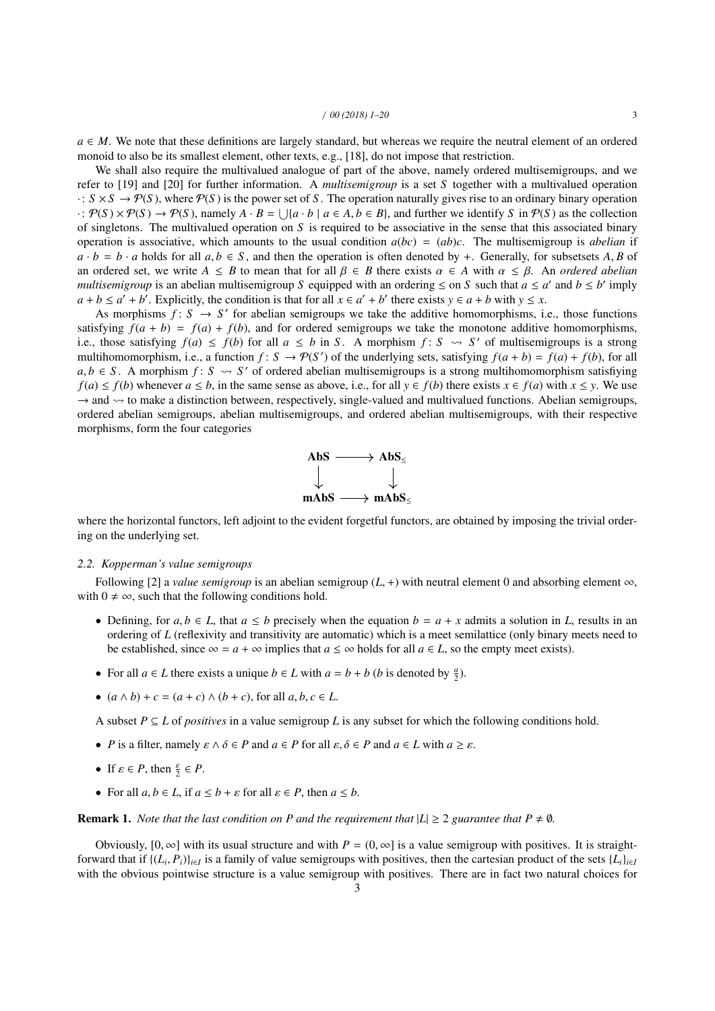$a \in M$ . We note that these definitions are largely standard, but whereas we require the neutral element of an ordered monoid to also be its smallest element, other texts, e.g., [18], do not impose that restriction.

We shall also require the multivalued analogue of part of the above, namely ordered multisemigroups, and we refer to [19] and [20] for further information. A *multisemigroup* is a set *S* together with a multivalued operation  $\cdot: S \times S \to \mathcal{P}(S)$ , where  $\mathcal{P}(S)$  is the power set of *S*. The operation naturally gives rise to an ordinary binary operation  $\cdot$ :  $\mathcal{P}(S) \times \mathcal{P}(S) \rightarrow \mathcal{P}(S)$ , namely  $A \cdot B = \bigcup \{a \cdot b \mid a \in A, b \in B\}$ , and further we identify *S* in  $\mathcal{P}(S)$  as the collection<br>of singletons. The multivalued operation on *S* is required to be associative in the of singletons. The multivalued operation on *S* is required to be associative in the sense that this associated binary operation is associative, which amounts to the usual condition  $a(bc) = (ab)c$ . The multisemigroup is *abelian* if  $a \cdot b = b \cdot a$  holds for all  $a, b \in S$ , and then the operation is often denoted by +. Generally, for subsetsets *A*, *B* of an ordered set, we write  $A \leq B$  to mean that for all  $\beta \in B$  there exists  $\alpha \in A$  with  $\alpha \leq \beta$ . An *ordered abelian multisemigroup* is an abelian multisemigroup *S* equipped with an ordering  $\leq$  on *S* such that *a*  $\leq$  *a*' and *b*  $\leq$  *b*' imply  $a + b \le a' + b'$ . Explicitly, the condition is that for all  $x \in a' + b'$  there exists  $y \in a + b$  with  $y \le x$ .

As morphisms  $f: S \to S'$  for abelian semigroups we take the additive homomorphisms, i.e., those functions satisfying  $f(a + b) = f(a) + f(b)$ , and for ordered semigroups we take the monotone additive homomorphisms, i.e., those satisfying  $f(a) \leq f(b)$  for all  $a \leq b$  in *S*. A morphism  $f: S \rightsquigarrow S'$  of multisemigroups is a strong multihomomorphism, i.e., a function  $f: S \to \mathcal{P}(S')$  of the underlying sets, satisfying  $f(a + b) = f(a) + f(b)$ , for all *a*, *b* ∈ *S*. A morphism *f* : *S*  $\sim$  *S'* of ordered abelian multisemigroups is a strong multihomomorphism satisfiying  $f(a) \le f(b)$  whenever  $a \le b$  in the same sense as above i.e. for all  $y \in f(b)$  there exists  $x \in f(a)$ *f*(*a*) ≤ *f*(*b*) whenever *a* ≤ *b*, in the same sense as above, i.e., for all *y* ∈ *f*(*b*) there exists *x* ∈ *f*(*a*) with *x* ≤ *y*. We use  $\rightarrow$  and  $\rightsquigarrow$  to make a distinction between, respectively, single-valued and multivalued functions. Abelian semigroups, ordered abelian semigroups, abelian multisemigroups, and ordered abelian multisemigroups, with their respective morphisms, form the four categories



where the horizontal functors, left adjoint to the evident forgetful functors, are obtained by imposing the trivial ordering on the underlying set.

#### *2.2. Kopperman's value semigroups*

Following [2] a *value semigroup* is an abelian semigroup ( $L$ , +) with neutral element 0 and absorbing element  $\infty$ , with  $0 \neq \infty$ , such that the following conditions hold.

- Defining, for  $a, b \in L$ , that  $a \leq b$  precisely when the equation  $b = a + x$  admits a solution in *L*, results in an ordering of *L* (reflexivity and transitivity are automatic) which is a meet semilattice (only binary meets need to be established, since  $\infty = a + \infty$  implies that  $a \leq \infty$  holds for all  $a \in L$ , so the empty meet exists).
- For all  $a \in L$  there exists a unique  $b \in L$  with  $a = b + b$  (*b* is denoted by  $\frac{a}{2}$ ).
- $(a \land b) + c = (a + c) \land (b + c)$ , for all  $a, b, c \in L$ .

A subset  $P \subseteq L$  of *positives* in a value semigroup L is any subset for which the following conditions hold.

- *P* is a filter, namely  $\varepsilon \wedge \delta \in P$  and  $a \in P$  for all  $\varepsilon, \delta \in P$  and  $a \in L$  with  $a \geq \varepsilon$ .
- If  $\varepsilon \in P$ , then  $\frac{\varepsilon}{2} \in P$ .
- For all  $a, b \in L$ , if  $a \leq b + \varepsilon$  for all  $\varepsilon \in P$ , then  $a \leq b$ .

## **Remark 1.** *Note that the last condition on P and the requirement that*  $|L| \geq 2$  *guarantee that*  $P \neq \emptyset$ *.*

Obviously,  $[0, \infty]$  with its usual structure and with  $P = (0, \infty]$  is a value semigroup with positives. It is straightforward that if  $\{(L_i, P_i)\}_{i \in I}$  is a family of value semigroups with positives, then the cartesian product of the sets  $\{L_i\}_{i \in I}$ <br>with the obvious pointwise structure is a value semigroup with positives. There are in with the obvious pointwise structure is a value semigroup with positives. There are in fact two natural choices for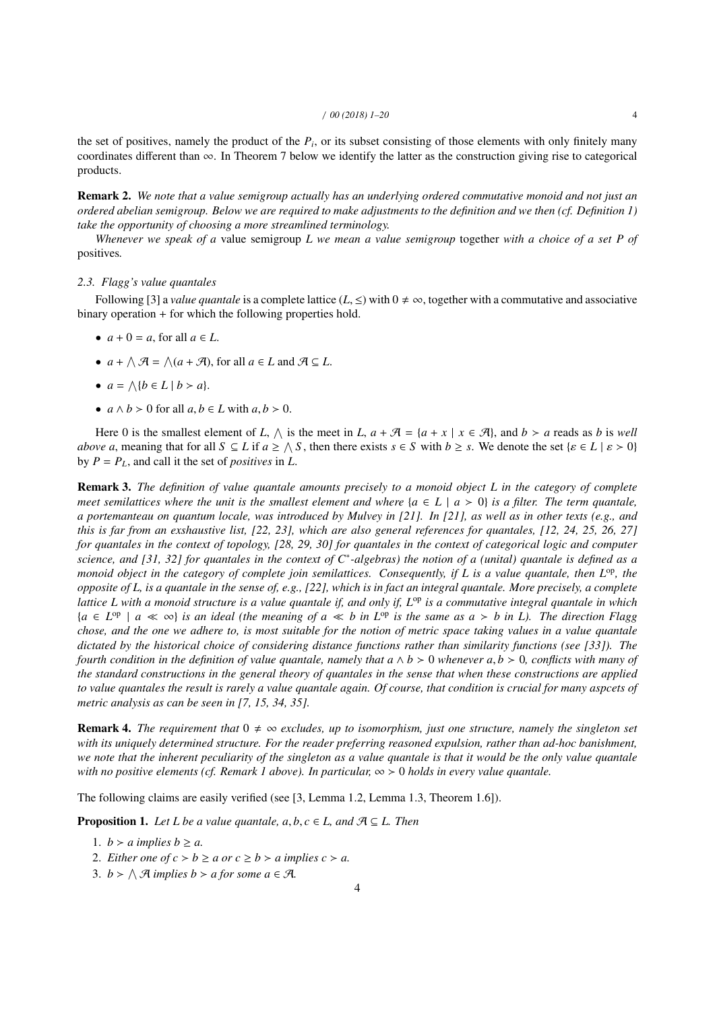the set of positives, namely the product of the  $P_i$ , or its subset consisting of those elements with only finitely many coordinates different than  $\infty$ . In Theorem 7 below we identify the latter as the construction giving rise to categorical products.

Remark 2. *We note that a value semigroup actually has an underlying ordered commutative monoid and not just an ordered abelian semigroup. Below we are required to make adjustments to the definition and we then (cf. Definition 1) take the opportunity of choosing a more streamlined terminology.*

*Whenever we speak of a* value semigroup *L we mean a value semigroup* together *with a choice of a set P of* positives*.*

## *2.3. Flagg's value quantales*

Following [3] a *value quantale* is a complete lattice (*L*, <) with  $0 \neq \infty$ , together with a commutative and associative binary operation + for which the following properties hold.

- $a + 0 = a$ , for all  $a \in L$ .
- $a + \wedge \mathcal{A} = \wedge (a + \mathcal{A})$ , for all  $a \in L$  and  $\mathcal{A} \subseteq L$ .
- $a = \Lambda \{b \in L \mid b > a\}.$
- $a \wedge b > 0$  for all  $a, b \in L$  with  $a, b > 0$ .

Here 0 is the smallest element of *L*,  $\wedge$  is the meet in *L*,  $a + \mathcal{A} = \{a + x \mid x \in \mathcal{A}\}\)$ , and  $b > a$  reads as *b* is *well above a*, meaning that for all  $S \subseteq L$  if  $a \ge \Lambda S$ , then there exists  $s \in S$  with  $b \ge s$ . We denote the set  $\{s \in L \mid s > 0\}$ <br>by  $P - P$ , and call it the set of nositives in *I* by  $P = P_L$ , and call it the set of *positives* in  $L$ .

Remark 3. *The definition of value quantale amounts precisely to a monoid object L in the category of complete meet semilattices where the unit is the smallest element and where*  ${a \in L \mid a > 0}$  *is a filter. The term quantale, a portemanteau on quantum locale, was introduced by Mulvey in [21]. In [21], as well as in other texts (e.g., and this is far from an exshaustive list, [22, 23], which are also general references for quantales, [12, 24, 25, 26, 27] for quantales in the context of topology, [28, 29, 30] for quantales in the context of categorical logic and computer science, and [31, 32] for quantales in the context of C*<sup>∗</sup> *-algebras) the notion of a (unital) quantale is defined as a monoid object in the category of complete join semilattices. Consequently, if L is a value quantale, then*  $L^{op}$ *, the opposite of L, is a quantale in the sense of, e.g., [22], which is in fact an integral quantale. More precisely, a complete lattice L with a monoid structure is a value quantale if, and only if, L*op *is a commutative integral quantale in which*  ${a \in L^{\text{op}}} \mid a \ll \infty}$  *is an ideal (the meaning of a*  $\ll b$  *in L*<sup>op</sup> *is the same as a* > *b in L*). The direction Flagg *chose, and the one we adhere to, is most suitable for the notion of metric space taking values in a value quantale dictated by the historical choice of considering distance functions rather than similarity functions (see [33]). The fourth condition in the definition of value quantale, namely that*  $a \wedge b > 0$  *whenever*  $a, b > 0$ *, conflicts with many of the standard constructions in the general theory of quantales in the sense that when these constructions are applied to value quantales the result is rarely a value quantale again. Of course, that condition is crucial for many aspcets of metric analysis as can be seen in [7, 15, 34, 35].*

**Remark 4.** *The requirement that*  $0 \neq \infty$  *excludes, up to isomorphism, just one structure, namely the singleton set with its uniquely determined structure. For the reader preferring reasoned expulsion, rather than ad-hoc banishment, we note that the inherent peculiarity of the singleton as a value quantale is that it would be the only value quantale with no positive elements (cf. Remark 1 above). In particular,*  $\infty > 0$  *holds in every value quantale.* 

The following claims are easily verified (see [3, Lemma 1.2, Lemma 1.3, Theorem 1.6]).

**Proposition 1.** *Let L be a value quantale, a, b, c*  $\in$  *L, and*  $\mathcal{A} \subseteq L$ *. Then* 

- 1.  $b > a$  *implies*  $b \ge a$ .
- 2. *Either one of*  $c > b \ge a$  *or*  $c \ge b > a$  *implies*  $c > a$ *.*
- 3.  $b > \bigwedge \mathcal{A}$  *implies*  $b > a$  *for some*  $a \in \mathcal{A}$ *.*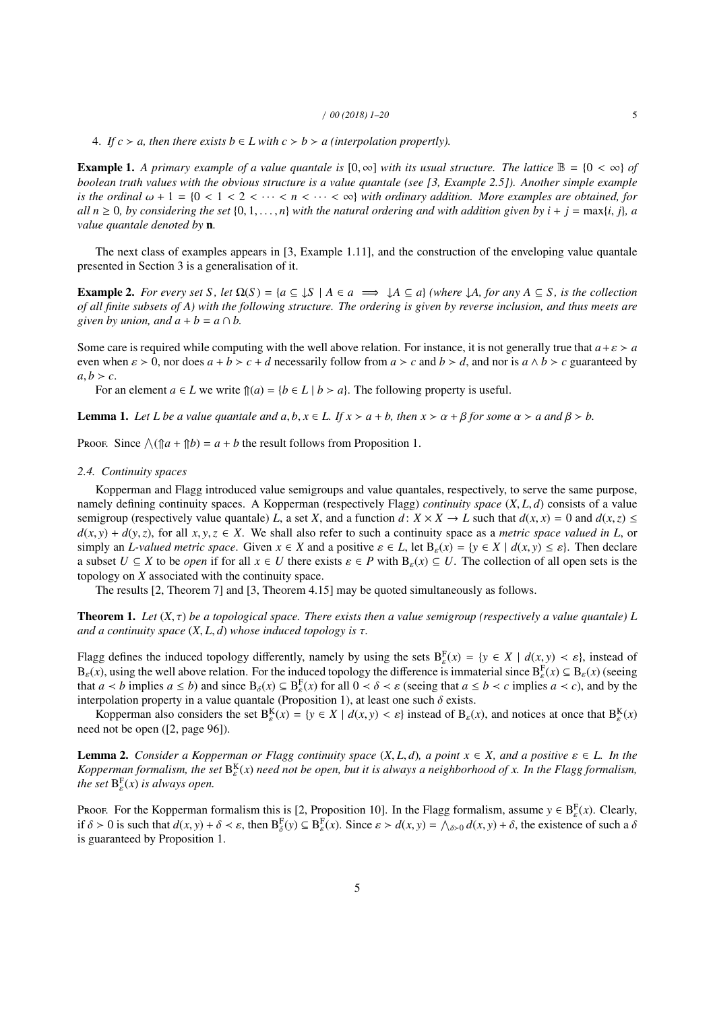4. *If*  $c > a$ , then there exists  $b \in L$  with  $c > b > a$  (interpolation propertly).

**Example 1.** A primary example of a value quantale is  $[0, \infty]$  with its usual structure. The lattice  $\mathbb{B} = \{0 < \infty\}$  of *boolean truth values with the obvious structure is a value quantale (see [3, Example 2.5]). Another simple example is the ordinal*  $\omega + 1 = \{0 < 1 < 2 < \cdots < n < \cdots < \infty\}$  *with ordinary addition. More examples are obtained, for all*  $n \geq 0$ *, by considering the set*  $\{0, 1, \ldots, n\}$  *with the natural ordering and with addition given by*  $i + j = \max\{i, j\}$ *, a value quantale denoted by* n*.*

The next class of examples appears in [3, Example 1.11], and the construction of the enveloping value quantale presented in Section 3 is a generalisation of it.

**Example 2.** For every set S, let  $\Omega(S) = \{a \subseteq \downarrow S \mid A \in a \implies \downarrow A \subseteq a\}$  (where  $\downarrow A$ , for any  $A \subseteq S$ , is the collection *of all finite subsets of A) with the following structure. The ordering is given by reverse inclusion, and thus meets are given by union, and*  $a + b = a \cap b$ *.* 

Some care is required while computing with the well above relation. For instance, it is not generally true that  $a + \varepsilon > a$ even when  $\varepsilon > 0$ , nor does  $a + b > c + d$  necessarily follow from  $a > c$  and  $b > d$ , and nor is  $a \wedge b > c$  guaranteed by  $a, b > c$ .

For an element  $a \in L$  we write  $\hat{p}(a) = \{b \in L \mid b > a\}$ . The following property is useful.

**Lemma 1.** Let L be a value quantale and  $a, b, x \in L$ . If  $x > a + b$ , then  $x > a + \beta$  for some  $\alpha > a$  and  $\beta > b$ .

Proof. Since  $\bigwedge (\hat{n}a + \hat{n}b) = a + b$  the result follows from Proposition 1.

## *2.4. Continuity spaces*

Kopperman and Flagg introduced value semigroups and value quantales, respectively, to serve the same purpose, namely defining continuity spaces. A Kopperman (respectively Flagg) *continuity space* (*X*, *<sup>L</sup>*, *<sup>d</sup>*) consists of a value semigroup (respectively value quantale) *L*, a set *X*, and a function *d*:  $X \times X \to L$  such that  $d(x, x) = 0$  and  $d(x, z) \le$  $d(x, y) + d(y, z)$ , for all  $x, y, z \in X$ . We shall also refer to such a continuity space as a *metric space valued in L*, or simply an *L-valued metric space*. Given  $x \in X$  and a positive  $\varepsilon \in L$ , let  $B_{\varepsilon}(x) = \{y \in X \mid d(x, y) \leq \varepsilon\}$ . Then declare a subset  $U \subseteq X$  to be *open* if for all  $x \in U$  there exists  $\varepsilon \in P$  with  $B_{\varepsilon}(x) \subseteq U$ . The collection of all open sets is the topology on *X* associated with the continuity space.

The results [2, Theorem 7] and [3, Theorem 4.15] may be quoted simultaneously as follows.

**Theorem 1.** Let  $(X, \tau)$  be a topological space. There exists then a value semigroup (respectively a value quantale) L *and a continuity space*  $(X, L, d)$  *whose induced topology is*  $\tau$ *.* 

Flagg defines the induced topology differently, namely by using the sets  $B_{\varepsilon}^{F}(x) = \{y \in X \mid d(x, y) \leq \varepsilon\}$ , instead of  $B_{\varepsilon}(x)$  using the well above relation. For the induced topology the difference is immaterial s  $B_{\varepsilon}(x)$ , using the well above relation. For the induced topology the difference is immaterial since  $B_{\varepsilon}^{F}(x) \subseteq B_{\varepsilon}(x)$  (seeing)<br>that  $a < b$  implies  $a < b$ ) and since  $B_{\varepsilon}(x) \subseteq B_{\varepsilon}(x)$  for all  $0 < \delta < a$  (seein that  $a < b$  implies  $a \le b$ ) and since  $B_\delta(x) \subseteq B_\epsilon^F(x)$  for all  $0 < \delta < \epsilon$  (seeing that  $a \le b < c$  implies  $a < c$ ), and by the interpolation property in a value quantale (Proposition 1) at least one such  $\delta$  exists interpolation property in a value quantale (Proposition 1), at least one such  $\delta$  exists.<br>Konnerman also considers the set  $R^{K}(x) = \{y \in X | d(x, y) \leq s\}$  instead of B.

Kopperman also considers the set  $B_{\varepsilon}^{K}(x) = \{y \in X \mid d(x, y) < \varepsilon\}$  instead of  $B_{\varepsilon}(x)$ , and notices at once that  $B_{\varepsilon}^{K}(x)$ need not be open ([2, page 96]).

**Lemma 2.** *Consider a Kopperman or Flagg continuity space*  $(X, L, d)$ *, a point*  $x \in X$ *, and a positive*  $\varepsilon \in L$ *. In the* Kopperman formalism, the set  $B_{\varepsilon}^{K}(x)$  need not be open, but it is always a neighborhood of x. In the Flagg formalism, *the set*  $B_{\varepsilon}^{F}(x)$  *is always open.* 

Proof. For the Kopperman formalism this is [2, Proposition 10]. In the Flagg formalism, assume  $y \in B_{\varepsilon}^{F}(x)$ . Clearly, if  $\delta > 0$  is such that  $d(x, y) + \delta < \varepsilon$ , then  $B_{\delta}^{F}(y) \subseteq B_{\varepsilon}^{F}(x)$ . Since  $\varepsilon > d(x, y) = \bigwedge_{\delta > 0} d(x, y) + \delta$ , the existence of such a  $\delta$  is quaranteed by Proposition 1. is guaranteed by Proposition 1.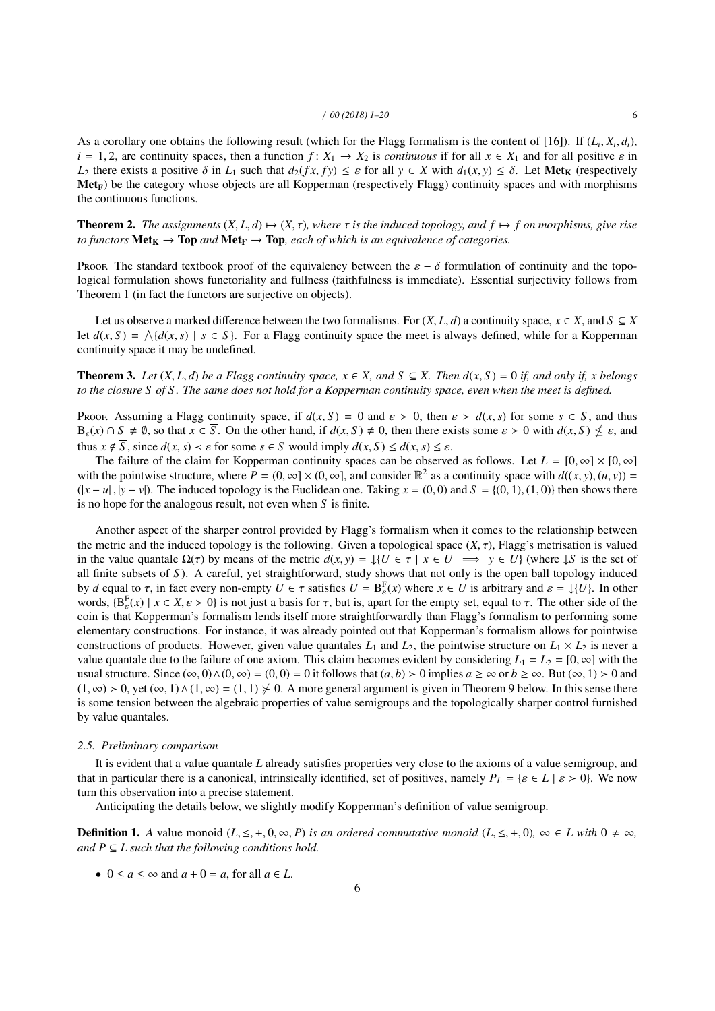As a corollary one obtains the following result (which for the Flagg formalism is the content of [16]). If  $(L_i, X_i, d_i)$ ,<br> $d_i - 1, 2$  are continuity spaces, then a function  $f: X_i \to X_2$  is continuous if for all  $x \in X$ , and fo  $i = 1, 2$ , are continuity spaces, then a function  $f: X_1 \to X_2$  is *continuous* if for all  $x \in X_1$  and for all positive  $\varepsilon$  in *L*<sub>2</sub> there exists a positive  $\delta$  in *L*<sub>1</sub> such that  $d_2(fx, fy) \leq \varepsilon$  for all  $y \in X$  with  $d_1(x, y) \leq \delta$ . Let Met<sub>K</sub> (respectively  $Met_F$ ) be the category whose objects are all Kopperman (respectively Flagg) continuity spaces and with morphisms the continuous functions.

**Theorem 2.** The assignments  $(X, L, d) \mapsto (X, \tau)$ , where  $\tau$  is the induced topology, and  $f \mapsto f$  on morphisms, give rise *to functors*  $\text{Met}_{K} \rightarrow \text{Top}$  *and*  $\text{Met}_{F} \rightarrow \text{Top}$ *, each of which is an equivalence of categories.* 

Proof. The standard textbook proof of the equivalency between the  $\varepsilon - \delta$  formulation of continuity and the topological formulation shows functoriality and fullness (faithfulness is immediate). Essential surjectivity follows from Theorem 1 (in fact the functors are surjective on objects).

Let us observe a marked difference between the two formalisms. For  $(X, L, d)$  a continuity space,  $x \in X$ , and  $S \subseteq X$ let  $d(x, S) = \bigwedge \{d(x, s) \mid s \in S\}$ . For a Flagg continuity space the meet is always defined, while for a Kopperman continuity space it may be undefined continuity space it may be undefined.

**Theorem 3.** *Let*  $(X, L, d)$  *be a Flagg continuity space,*  $x \in X$ *, and*  $S \subseteq X$ *. Then*  $d(x, S) = 0$  *if, and only if, x belongs to the closure S of S . The same does not hold for a Kopperman continuity space, even when the meet is defined.*

Proof. Assuming a Flagg continuity space, if  $d(x, S) = 0$  and  $\varepsilon > 0$ , then  $\varepsilon > d(x, s)$  for some  $s \in S$ , and thus  $B_{\varepsilon}(x) \cap S \neq \emptyset$ , so that  $x \in \overline{S}$ . On the other hand, if  $d(x, S) \neq 0$ , then there exists some  $\varepsilon > 0$  with  $d(x, S) \nleq \varepsilon$ , and thus  $x \notin \overline{S}$  since  $d(x, s) \leq \varepsilon$  for some  $\varepsilon \in S$  would imply  $d(x, S) \leq d(x, s) \le$ thus  $x \notin \overline{S}$ , since  $d(x, s) < \varepsilon$  for some  $s \in S$  would imply  $d(x, S) \leq d(x, s) \leq \varepsilon$ .

The failure of the claim for Kopperman continuity spaces can be observed as follows. Let  $L = [0, \infty] \times [0, \infty]$ with the pointwise structure, where  $P = (0, \infty] \times (0, \infty]$ , and consider  $\mathbb{R}^2$  as a continuity space with  $d((x, y), (u, v)) =$ <br> $\{ |x - u|, |y - v| \}$ . The induced topology is the Euclidean one. Taking  $x = (0, 0)$  and  $S = (0, 1)$ , (  $(|x - u|, |y - v|)$ . The induced topology is the Euclidean one. Taking  $x = (0, 0)$  and  $S = \{(0, 1), (1, 0)\}$  then shows there is no hope for the analogous result, not even when *S* is finite.

Another aspect of the sharper control provided by Flagg's formalism when it comes to the relationship between the metric and the induced topology is the following. Given a topological space  $(X, \tau)$ , Flagg's metrisation is valued in the value quantale  $\Omega(\tau)$  by means of the metric  $d(x, y) = \frac{1}{u}$   $\in \tau \mid x \in U \implies y \in U$  (where  $\downarrow S$  is the set of all finite subsets of *S* ). A careful, yet straightforward, study shows that not only is the open ball topology induced by *d* equal to  $\tau$ , in fact every non-empty  $U \in \tau$  satisfies  $U = B_{\epsilon}^{F}(x)$  where  $x \in U$  is arbitrary and  $\varepsilon = \frac{1}{V}$ . In other words,  ${B_{\epsilon}^{F}(x) \mid x \in X, \epsilon > 0}$  is not just a basis for  $\tau$ , but is, apart for the empty set, equal to  $\tau$ . The other side of the coin is that Konperman's formalism lends itself more straightforwardly than Flagg's for ε coin is that Kopperman's formalism lends itself more straightforwardly than Flagg's formalism to performing some elementary constructions. For instance, it was already pointed out that Kopperman's formalism allows for pointwise constructions of products. However, given value quantales  $L_1$  and  $L_2$ , the pointwise structure on  $L_1 \times L_2$  is never a value quantale due to the failure of one axiom. This claim becomes evident by considering  $L_1 = L_2 = [0, \infty]$  with the usual structure. Since  $(\infty, 0) \wedge (0, \infty) = (0, 0) = 0$  it follows that  $(a, b) > 0$  implies  $a \ge \infty$  or  $b \ge \infty$ . But  $(\infty, 1) > 0$  and  $(1, \infty) > 0$ , yet  $(\infty, 1) \wedge (1, \infty) = (1, 1) \vee 0$ . A more general argument is given in Theorem 9 below. In this sense there is some tension between the algebraic properties of value semigroups and the topologically sharper control furnished by value quantales.

#### *2.5. Preliminary comparison*

It is evident that a value quantale *L* already satisfies properties very close to the axioms of a value semigroup, and that in particular there is a canonical, intrinsically identified, set of positives, namely  $P_L = \{ \varepsilon \in L \mid \varepsilon > 0 \}$ . We now turn this observation into a precise statement.

Anticipating the details below, we slightly modify Kopperman's definition of value semigroup.

**Definition 1.** A value monoid  $(L, \leq, +, 0, \infty, P)$  *is an ordered commutative monoid*  $(L, \leq, +, 0)$ ,  $\infty \in L$  with  $0 \neq \infty$ , *and*  $P \subseteq L$  *such that the following conditions hold.* 

•  $0 \le a \le \infty$  and  $a + 0 = a$ , for all  $a \in L$ .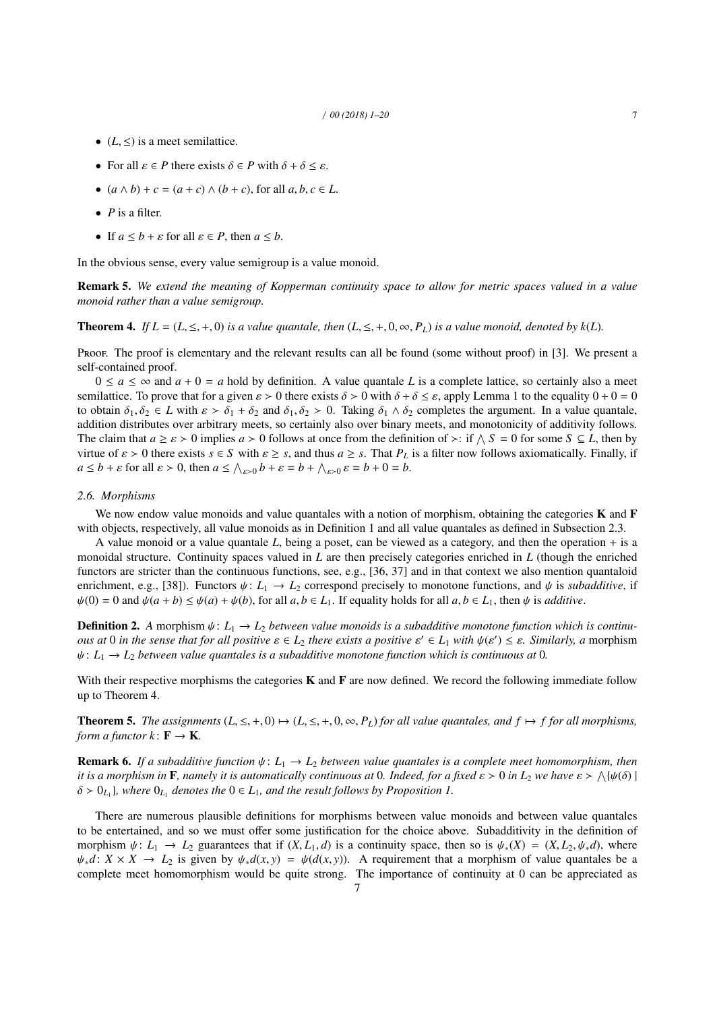- $(L, \leq)$  is a meet semilattice.
- For all  $\varepsilon \in P$  there exists  $\delta \in P$  with  $\delta + \delta \leq \varepsilon$ .
- $(a \land b) + c = (a + c) \land (b + c)$ , for all  $a, b, c \in L$ .
- *P* is a filter.
- If  $a \leq b + \varepsilon$  for all  $\varepsilon \in P$ , then  $a \leq b$ .

In the obvious sense, every value semigroup is a value monoid.

Remark 5. *We extend the meaning of Kopperman continuity space to allow for metric spaces valued in a value monoid rather than a value semigroup.*

**Theorem 4.** *If*  $L = (L, \leq, +, 0)$  *is a value quantale, then*  $(L, \leq, +, 0, \infty, P_L)$  *is a value monoid, denoted by k(L).* 

Proof. The proof is elementary and the relevant results can all be found (some without proof) in [3]. We present a self-contained proof.

 $0 \le a \le \infty$  and  $a + 0 = a$  hold by definition. A value quantale L is a complete lattice, so certainly also a meet semilattice. To prove that for a given  $\varepsilon > 0$  there exists  $\delta > 0$  with  $\delta + \delta \leq \varepsilon$ , apply Lemma 1 to the equality  $0 + 0 = 0$ to obtain  $\delta_1, \delta_2 \in L$  with  $\varepsilon > \delta_1 + \delta_2$  and  $\delta_1, \delta_2 > 0$ . Taking  $\delta_1 \wedge \delta_2$  completes the argument. In a value quantale, addition distributes over arbitrary meets, so certainly also over binary meets, and monotonicity of additivity follows. The claim that  $a \ge \varepsilon > 0$  implies  $a > 0$  follows at once from the definition of  $\ge$ : if  $\wedge S = 0$  for some  $S \subseteq L$ , then by virtue of  $\varepsilon > 0$  there exists  $\varepsilon \in S$  with  $\varepsilon > \varepsilon$  and thus  $a > \varepsilon$ . That  $P_1$  is a fil virtue of  $\varepsilon > 0$  there exists  $s \in S$  with  $\varepsilon \geq s$ , and thus  $a \geq s$ . That  $P_L$  is a filter now follows axiomatically. Finally, if  $a \leq b + \varepsilon$  for all  $\varepsilon > 0$ , then  $a \leq \bigwedge_{\varepsilon > 0} b + \varepsilon = b + \bigwedge_{\varepsilon > 0} \varepsilon = b + 0 = b$ .

## *2.6. Morphisms*

We now endow value monoids and value quantales with a notion of morphism, obtaining the categories  $K$  and  $F$ with objects, respectively, all value monoids as in Definition 1 and all value quantales as defined in Subsection 2.3.

A value monoid or a value quantale *L*, being a poset, can be viewed as a category, and then the operation + is a monoidal structure. Continuity spaces valued in *L* are then precisely categories enriched in *L* (though the enriched functors are stricter than the continuous functions, see, e.g., [36, 37] and in that context we also mention quantaloid enrichment, e.g., [38]). Functors  $\psi: L_1 \to L_2$  correspond precisely to monotone functions, and  $\psi$  is *subadditive*, if  $\psi(0) = 0$  and  $\psi(a + b) \leq \psi(a) + \psi(b)$ , for all  $a, b \in L_1$ . If equality holds for all  $a, b \in L_1$ , then  $\psi$  is *additive*.

**Definition 2.** A morphism  $\psi: L_1 \to L_2$  *between value monoids is a subadditive monotone function which is continuous at* 0 *in the sense that for all positive*  $\varepsilon \in L_2$  *there exists a positive*  $\varepsilon' \in L_1$  *with*  $\psi(\varepsilon') \leq \varepsilon$ *. Similarly, a* morphism  $\psi: L_1 \to L_2$  *between value quantales is a subadditive monotone function w*  $\psi: L_1 \to L_2$  *between value quantales is a subadditive monotone function which is continuous at* 0*.* 

With their respective morphisms the categories  $K$  and  $F$  are now defined. We record the following immediate follow up to Theorem 4.

**Theorem 5.** The assignments  $(L, \leq, +, 0) \mapsto (L, \leq, +, 0, \infty, P_L)$  for all value quantales, and  $f \mapsto f$  for all morphisms, *form a functor*  $k: \mathbf{F} \to \mathbf{K}$ .

**Remark 6.** *If a subadditive function*  $\psi$ :  $L_1 \rightarrow L_2$  *between value quantales is a complete meet homomorphism, then it is a morphism in* **F**, namely *it is automatically continuous at* 0. Indeed, for a fixed  $\varepsilon > 0$  in  $L_2$  we have  $\varepsilon > \bigwedge \{ \psi(\delta) \mid \delta > 0 \}$ .  $\delta > 0_{L_1}$ , where  $0_{L_1}$  denotes the  $0 \in L_1$ , and the result follows by Proposition 1.

There are numerous plausible definitions for morphisms between value monoids and between value quantales to be entertained, and so we must offer some justification for the choice above. Subadditivity in the definition of morphism  $\psi: L_1 \to L_2$  guarantees that if  $(X, L_1, d)$  is a continuity space, then so is  $\psi_*(X) = (X, L_2, \psi_*d)$ , where  $\psi_*d: X \times X \to L_2$  is given by  $\psi_*d(x, y) = \psi(d(x, y))$ . A requirement that a morphism of value quantales be a complete meet homomorphism would be quite strong. The importance of continuity at 0 can be appreciated as

7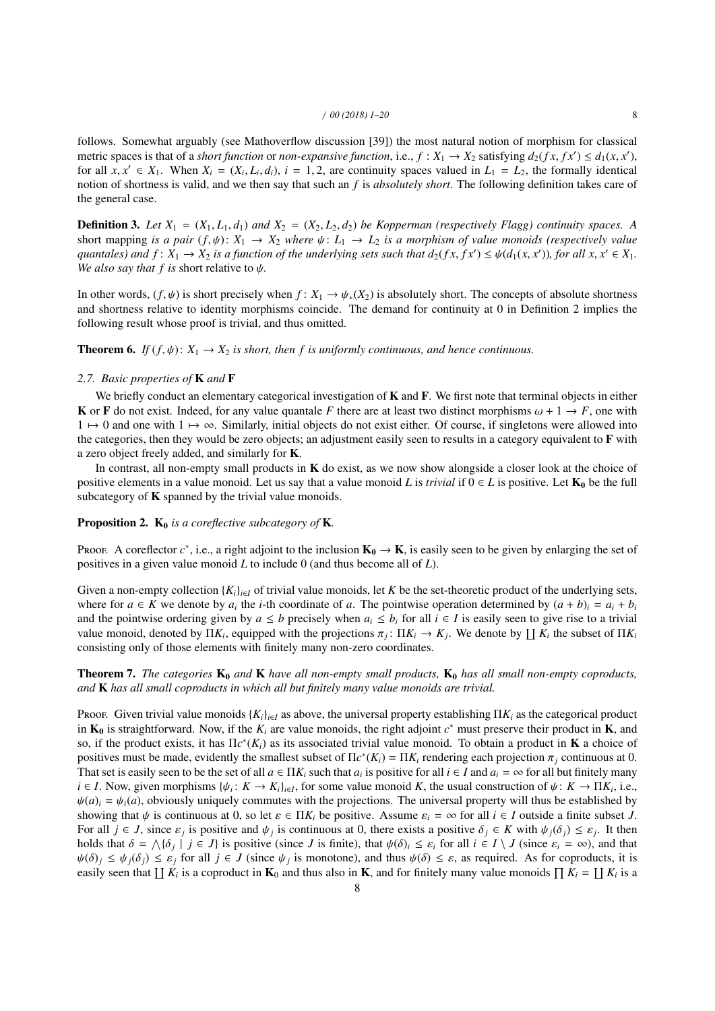follows. Somewhat arguably (see Mathoverflow discussion [39]) the most natural notion of morphism for classical metric spaces is that of a *short function* or *non-expansive function*, i.e.,  $f : X_1 \to X_2$  satisfying  $d_2(fx, fx') \leq d_1(x, x')$ , for all  $x, x' \in X$ . When  $X_1 = (X_1, d_1)$ ,  $i = 1, 2$ , are continuity spaces valued in  $L_1 = L_2$ , t for all  $x, x' \in X_1$ . When  $X_i = (X_i, L_i, d_i)$ ,  $i = 1, 2$ , are continuity spaces valued in  $L_1 = L_2$ , the formally identical potion of shortness is valid and we then say that such an *f* is absolutely short. The following defi notion of shortness is valid, and we then say that such an *f* is *absolutely short*. The following definition takes care of the general case.

**Definition 3.** Let  $X_1 = (X_1, L_1, d_1)$  and  $X_2 = (X_2, L_2, d_2)$  be Kopperman (respectively Flagg) continuity spaces. A short mapping *is a pair*  $(f, \psi)$ :  $X_1 \to X_2$  *where*  $\psi$ :  $L_1 \to L_2$  *is a morphism of value monoids (respectively value quantales) and*  $f: X_1 \to X_2$  *is a function of the underlying sets such that*  $d_2(fx, fx') \leq \psi(d_1(x, x'))$ *, for all x, x'*  $\in X_1$ *.* We also say that f is short relative to  $\psi$ *We also say that f is short relative to*  $\psi$ *.* 

In other words,  $(f, \psi)$  is short precisely when  $f: X_1 \to \psi_*(X_2)$  is absolutely short. The concepts of absolute shortness and shortness relative to identity morphisms coincide. The demand for continuity at 0 in Definition 2 implies the following result whose proof is trivial, and thus omitted.

**Theorem 6.** *If*  $(f, \psi)$ :  $X_1 \rightarrow X_2$  *is short, then f is uniformly continuous, and hence continuous.* 

## *2.7. Basic properties of* K *and* F

We briefly conduct an elementary categorical investigation of  $K$  and  $F$ . We first note that terminal objects in either K or F do not exist. Indeed, for any value quantale F there are at least two distinct morphisms  $\omega + 1 \rightarrow F$ , one with  $1 \mapsto 0$  and one with  $1 \mapsto \infty$ . Similarly, initial objects do not exist either. Of course, if singletons were allowed into the categories, then they would be zero objects; an adjustment easily seen to results in a category equivalent to F with a zero object freely added, and similarly for K.

In contrast, all non-empty small products in  $K$  do exist, as we now show alongside a closer look at the choice of positive elements in a value monoid. Let us say that a value monoid *L* is *trivial* if  $0 \in L$  is positive. Let  $K_0$  be the full subcategory of  $K$  spanned by the trivial value monoids.

## Proposition 2.  $K_0$  *is a coreflective subcategory of* K.

Proof. A coreflector  $c^*$ , i.e., a right adjoint to the inclusion  $\mathbf{K}_0 \to \mathbf{K}$ , is easily seen to be given by enlarging the set of positives in a given value monoid *L* to include 0 (and thus become all of *L*).

Given a non-empty collection  ${K_i}_{i \in I}$  of trivial value monoids, let *K* be the set-theoretic product of the underlying sets, where for  $a \in K$  we denote by  $a_i$  the *i*-th coordinate of *a*. The pointwise operation determined by  $(a + b)_i = a_i + b_i$ and the pointwise ordering given by  $a \leq b$  precisely when  $a_i \leq b_i$  for all  $i \in I$  is easily seen to give rise to a trivial value monoid, denoted by  $\Pi K_i$ , equipped with the projections  $\pi_j: \Pi K_i \to K_j$ . We denote by  $\coprod K_i$  the subset of  $\Pi K_i$  consisting only of those elements with finitely many non-zero coordinates consisting only of those elements with finitely many non-zero coordinates.

# **Theorem 7.** *The categories*  $K_0$  *and*  $K$  *have all non-empty small products*,  $K_0$  *has all small non-empty coproducts*, *and* K *has all small coproducts in which all but finitely many value monoids are trivial.*

Proof. Given trivial value monoids  $\{K_i\}_{i\in I}$  as above, the universal property establishing  $\Pi K_i$  as the categorical product in  $K_0$  is straightforward. Now, if the  $K_i$  are value monoids, the right adjoint  $c^*$  must preserve their product in  $K$ , and so, if the product exists, it has  $\Pi c^*(K_i)$  as its associated trivial value monoid. To obtain a product in **K** a choice of positives must be made, evidently the smallest subset of  $\Pi c^*(K_i) = \Pi K_i$  rendering each projection  $\pi_j$  continuous at 0.<br>That set is easily seen to be the set of all  $a \in \Pi K$ , such that a, is positive for all  $i \in I$  and That set is easily seen to be the set of all  $a \in \Pi K_i$  such that  $a_i$  is positive for all  $i \in I$  and  $a_i = \infty$  for all but finitely many  $i \in I$ . Now, given morphisms  $\{\psi_i : K \to K_i\}_{i \in I}$ , for some value monoid *K*, the usual construction of  $\psi : K \to \Pi K_i$ , i.e.,  $\nu_k(a) = \nu_k(a)$  obviously uniquely commutes with the projections. The universal property will thus b  $\psi(a)_i = \psi_i(a)$ , obviously uniquely commutes with the projections. The universal property will thus be established by showing that  $\psi$  is continuous at 0, so let  $\varepsilon \in \Pi K_i$  be positive. Assume  $\varepsilon_i = \infty$  for all  $i \in I$  outside a finite subset *J*. For all  $j \in J$ , since  $\varepsilon_j$  is positive and  $\psi_j$  is continuous at 0, there exists a positive  $\delta_j \in K$  with  $\psi_j(\delta_j) \leq \varepsilon_j$ . It then holds that  $\delta = \Delta\{\delta_j\}$  is  $\Gamma$  is positive (since *L* is finite) that  $\psi(\delta_j) \leq \vare$ holds that  $\delta = \bigwedge \{\delta_j \mid j \in J\}$  is positive (since *J* is finite), that  $\psi(\delta)_i \leq \varepsilon_i$  for all  $i \in I \setminus J$  (since  $\varepsilon_i = \infty$ ), and that  $\psi(\delta) \leq \varepsilon_i$  for all  $i \in I$  (since  $\psi(i)$  is monotone), and thus  $\psi(\delta) \leq \varepsilon_i$  $\psi(\delta)_j \leq \psi_j(\delta_j) \leq \varepsilon_j$  for all  $j \in J$  (since  $\psi_j$  is monotone), and thus  $\psi(\delta) \leq \varepsilon$ , as required. As for coproducts, it is a controllect in  $\mathbf{K}_\varepsilon$  and thus also in  $\mathbf{K}_\varepsilon$  and for finitely many value m easily seen that  $\prod K_i$  is a coproduct in  $\mathbf{K}_0$  and thus also in  $\mathbf{K}$ , and for finitely many value monoids  $\prod K_i = \prod K_i$  is a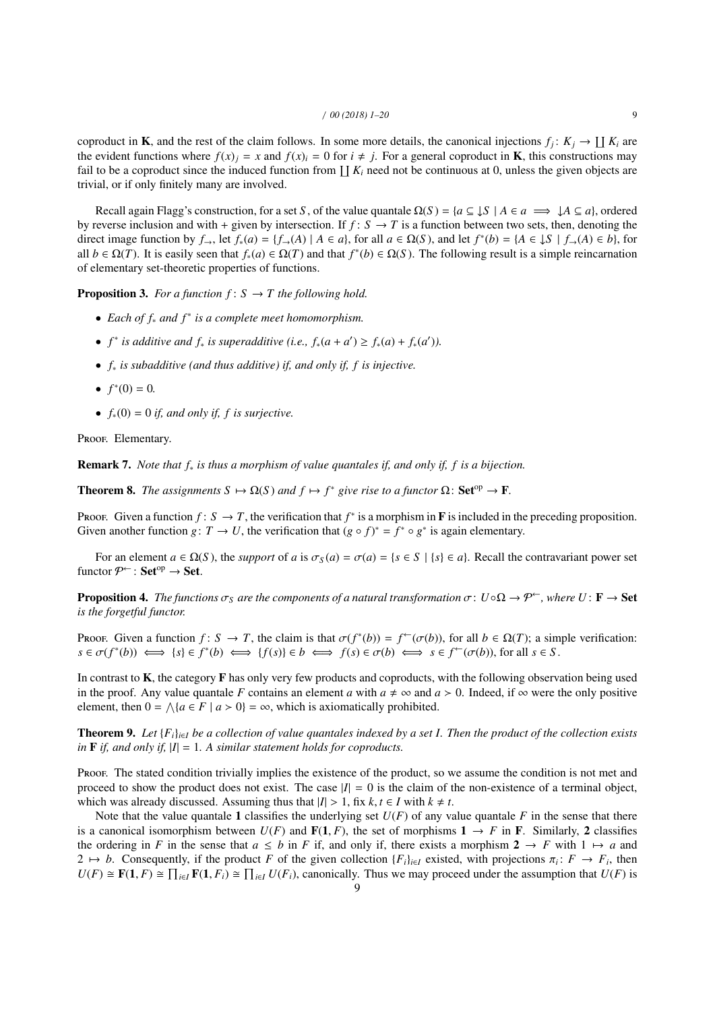coproduct in **K**, and the rest of the claim follows. In some more details, the canonical injections  $f_j: K_j \to \coprod K_i$  are the evident functions where  $f(x)_i = x$  and  $f(x)_i = 0$  for  $i \neq j$ . For a general coproduct in **K**, this constructions may fail to be a coproduct since the induced function from  $\prod K_i$  need not be continuous at 0, unless the given objects are trivial, or if only finitely many are involved.

Recall again Flagg's construction, for a set *S*, of the value quantale  $\Omega(S) = \{a \subseteq \downarrow S \mid A \in a \implies \downarrow A \subseteq a\}$ , ordered by reverse inclusion and with + given by intersection. If  $f: S \to T$  is a function between two sets, then, denoting the direct image function by  $f_{\rightarrow}$ , let  $f_*(a) = \{f_{\rightarrow}(A) | A \in a\}$ , for all  $a \in \Omega(S)$ , and let  $f^*(b) = \{A \in \mathcal{J} | f_{\rightarrow}(A) \in b\}$ , for all  $b \in \Omega(T)$ . It is easily seen that  $f_*(a) \in \Omega(T)$  and that  $f^*(b) \in \Omega(S)$ . The following result is a simple reincarnation of elementary set-theoretic properties of functions.

**Proposition 3.** *For a function*  $f: S \rightarrow T$  *the following hold.* 

- *Each of f*<sup>∗</sup> *and f* <sup>∗</sup> *is a complete meet homomorphism.*
- $f^*$  *is additive and*  $f_*$  *is superadditive (i.e.,*  $f_*(a + a') \ge f_*(a) + f_*(a')$ ).
- *f*<sup>∗</sup> *is subadditive (and thus additive) if, and only if, f is injective.*
- $f^*(0) = 0$ .
- $f_*(0) = 0$  *if, and only if, f is surjective.*

Proof. Elementary.

Remark 7. *Note that f*<sup>∗</sup> *is thus a morphism of value quantales if, and only if, f is a bijection.*

**Theorem 8.** *The assignments*  $S \mapsto \Omega(S)$  *and*  $f \mapsto f^*$  *give rise to a functor*  $\Omega$ : **Set**<sup>op</sup>  $\rightarrow$  **F**.

Proof. Given a function  $f: S \to T$ , the verification that  $f^*$  is a morphism in **F** is included in the preceding proposition. Given another function *g*:  $T \to U$ , the verification that  $(g \circ f)^* = f^* \circ g^*$  is again elementary.

For an element  $a \in \Omega(S)$ , the *support* of *a* is  $\sigma_S(a) = \sigma(a) = \{s \in S \mid \{s\} \in a\}$ . Recall the contravariant power set functor  $\mathcal{P}^{\leftarrow}$ : Set<sup>op</sup>  $\rightarrow$  Set.

**Proposition 4.** *The functions*  $\sigma_S$  *are the components of a natural transformation*  $\sigma: U \circ \Omega \to \mathcal{P}^{\leftarrow}$ *, where*  $U: \mathbf{F} \to \mathbf{Set}$ *is the forgetful functor.*

Proof. Given a function  $f: S \to T$ , the claim is that  $\sigma(f^*(b)) = f^{\leftarrow}(\sigma(b))$ , for all  $b \in \Omega(T)$ ; a simple verification:<br> $s \in \sigma(f^*(b)) \iff \{s\} \in f^*(b) \iff \{f(s)\} \in b \iff f(s) \in \sigma(b) \iff s \in f^{\leftarrow}(\sigma(b))$  for all  $s \in S$  $s \in \sigma(f^*(b)) \iff \{s\} \in f^*(b) \iff \{f(s)\} \in b \iff f(s) \in \sigma(b) \iff s \in f^{\leftarrow}(\sigma(b))$ , for all  $s \in S$ .

In contrast to  $K$ , the category  $F$  has only very few products and coproducts, with the following observation being used in the proof. Any value quantale *F* contains an element *a* with  $a \neq \infty$  and  $a > 0$ . Indeed, if  $\infty$  were the only positive element, then  $0 = \bigwedge \{a \in F \mid a > 0\} = \infty$ , which is axiomatically prohibited.

**Theorem 9.** Let  $\{F_i\}_{i \in I}$  be a collection of value quantales indexed by a set I. Then the product of the collection exists *in*  $\bf{F}$  *if, and only if,*  $|I| = 1$ *. A similar statement holds for coproducts.* 

Proof. The stated condition trivially implies the existence of the product, so we assume the condition is not met and proceed to show the product does not exist. The case  $|I| = 0$  is the claim of the non-existence of a terminal object, which was already discussed. Assuming thus that  $|I| > 1$ , fix  $k, t \in I$  with  $k \neq t$ .

Note that the value quantale 1 classifies the underlying set  $U(F)$  of any value quantale  $F$  in the sense that there is a canonical isomorphism between  $U(F)$  and  $F(1, F)$ , the set of morphisms  $1 \rightarrow F$  in F. Similarly, 2 classifies the ordering in *F* in the sense that  $a \leq b$  in *F* if, and only if, there exists a morphism  $2 \rightarrow F$  with  $1 \mapsto a$  and 2 → *b*. Consequently, if the product *F* of the given collection  ${F_i}_{i\in I}$  existed, with projections  $\pi_i: F \to F_i$ , then  $H(F) \cong F(1, F) \cong \Pi$ .  $F(1, F) \cong \Pi$ .  $H(F)$  canonically. Thus we may proceed under the assumption th *U*(*F*) ≅ **F**(1, *F*) ≅  $\prod_{i \in I}$ **F**(1, *F<sub>i</sub>*) ≅  $\prod_{i \in I}$ *U*(*F<sub>i</sub>*), canonically. Thus we may proceed under the assumption that *U*(*F*) is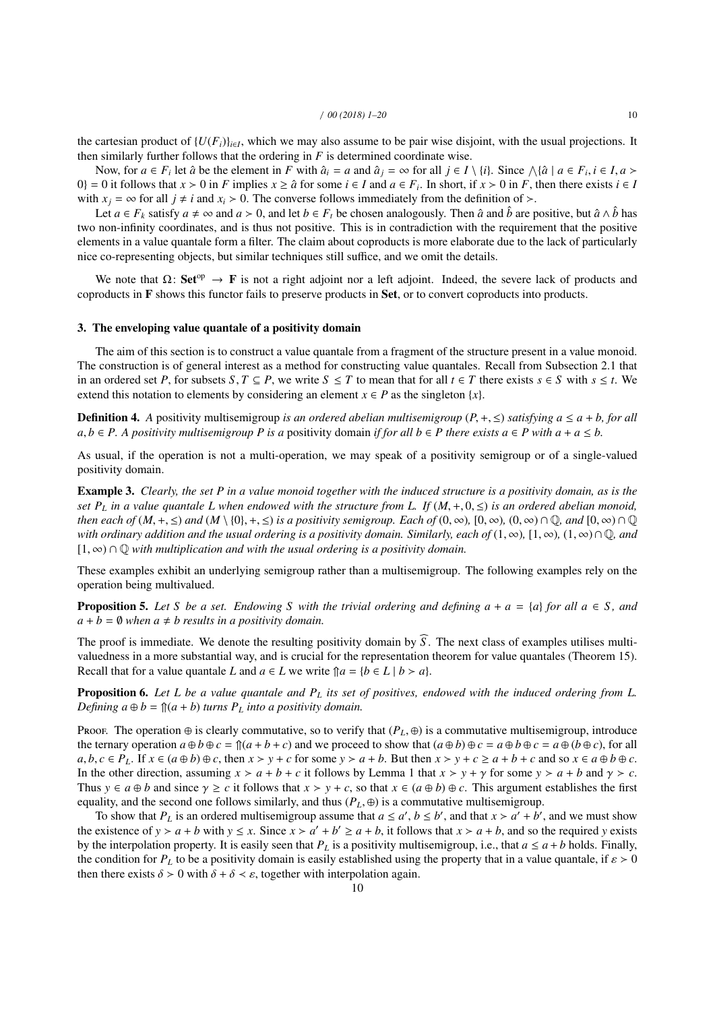the cartesian product of  $\{U(F_i)\}_{i \in I}$ , which we may also assume to be pair wise disjoint, with the usual projections. It then similarly further follows that the ordering in *F* is determined coordinate wise.

Now, for  $a \in F_i$  let  $\hat{a}$  be the element in F with  $\hat{a}_i = a$  and  $\hat{a}_j = \infty$  for all  $j \in I \setminus \{i\}$ . Since  $\wedge \{\hat{a} \mid a \in F_i, i \in I, a > 0\}$  is follows that  $x > 0$  in F implies  $x > \hat{a}$  for some  $i \in I$  and  $a \in F$ . In s 0} = 0 it follows that  $x > 0$  in *F* implies  $x \ge \hat{a}$  for some  $i \in I$  and  $a \in F_i$ . In short, if  $x > 0$  in *F*, then there exists  $i \in I$ with  $x_i = \infty$  for all  $j \neq i$  and  $x_i > 0$ . The converse follows immediately from the definition of  $\geq$ .

Let  $a \in F_k$  satisfy  $a \neq \infty$  and  $a > 0$ , and let  $b \in F_t$  be chosen analogously. Then  $\hat{a}$  and  $\hat{b}$  are positive, but  $\hat{a} \wedge \hat{b}$  has two non-infinity coordinates, and is thus not positive. This is in contradiction with the requirement that the positive elements in a value quantale form a filter. The claim about coproducts is more elaborate due to the lack of particularly nice co-representing objects, but similar techniques still suffice, and we omit the details.

We note that  $\Omega$ : Set<sup>op</sup>  $\rightarrow$  F is not a right adjoint nor a left adjoint. Indeed, the severe lack of products and coproducts in F shows this functor fails to preserve products in Set, or to convert coproducts into products.

#### 3. The enveloping value quantale of a positivity domain

The aim of this section is to construct a value quantale from a fragment of the structure present in a value monoid. The construction is of general interest as a method for constructing value quantales. Recall from Subsection 2.1 that in an ordered set *P*, for subsets *S*, *T*  $\subseteq$  *P*, we write *S*  $\leq$  *T* to mean that for all  $t \in T$  there exists  $s \in S$  with  $s \leq t$ . We extend this notation to elements by considering an element  $x \in P$  as the singleton  $\{x\}$ .

Definition 4. *<sup>A</sup>* positivity multisemigroup *is an ordered abelian multisemigroup* (*P*, <sup>+</sup>, <sup>≤</sup>) *satisfying a* <sup>≤</sup> *<sup>a</sup>* <sup>+</sup> *b, for all*  $a, b \in P$ . A positivity multisemigroup P is a positivity domain *if for all*  $b \in P$  there exists  $a \in P$  with  $a + a \leq b$ .

As usual, if the operation is not a multi-operation, we may speak of a positivity semigroup or of a single-valued positivity domain.

Example 3. *Clearly, the set P in a value monoid together with the induced structure is a positivity domain, as is the set P<sub>L</sub> in a value quantale L when endowed with the structure from L. If*  $(M, +, 0, \leq)$  *is an ordered abelian monoid, then each of*  $(M, +, \leq)$  *and*  $(M \setminus \{0\}, +, \leq)$  *is a positivity semigroup. Each of*  $(0, \infty)$ ,  $[0, \infty)$ ,  $(0, \infty) \cap \mathbb{Q}$ *, and*  $[0, \infty) \cap \mathbb{Q}$ *with ordinary addition and the usual ordering is a positivity domain. Similarly, each of*  $(1, \infty)$ ,  $[1, \infty)$ ,  $(1, \infty) \cap \mathbb{Q}$ *, and* [1, <sup>∞</sup>) <sup>∩</sup> <sup>Q</sup> *with multiplication and with the usual ordering is a positivity domain.*

These examples exhibit an underlying semigroup rather than a multisemigroup. The following examples rely on the operation being multivalued.

**Proposition 5.** Let S be a set. Endowing S with the trivial ordering and defining  $a + a = \{a\}$  for all  $a \in S$ , and  $a + b = \emptyset$  *when*  $a \neq b$  *results in a positivity domain.* 

The proof is immediate. We denote the resulting positivity domain by  $\widehat{S}$ . The next class of examples utilises multivaluedness in a more substantial way, and is crucial for the representation theorem for value quantales (Theorem 15). Recall that for a value quantale *L* and  $a \in L$  we write  $\int a = \{b \in L \mid b > a\}.$ 

Proposition 6. *Let L be a value quantale and P<sup>L</sup> its set of positives, endowed with the induced ordering from L. Defining*  $a \oplus b = \mathcal{T}(a + b)$  *turns*  $P_L$  *into a positivity domain.* 

Proof. The operation  $\oplus$  is clearly commutative, so to verify that  $(P_L, \oplus)$  is a commutative multisemigroup, introduce the ternary operation  $a \oplus b \oplus c = \hat{a}(a + b + c)$  and we proceed to show that  $(a \oplus b) \oplus c = a \oplus b \oplus c = a \oplus (b \oplus c)$ , for all  $a, b, c \in P_L$ . If  $x \in (a \oplus b) \oplus c$ , then  $x > y + c$  for some  $y > a + b$ . But then  $x > y + c \ge a + b + c$  and so  $x \in a \oplus b \oplus c$ . In the other direction, assuming  $x > a + b + c$  it follows by Lemma 1 that  $x > y + \gamma$  for some  $y > a + b$  and  $\gamma > c$ . Thus  $y \in a \oplus b$  and since  $\gamma \ge c$  it follows that  $x > y + c$ , so that  $x \in (a \oplus b) \oplus c$ . This argument establishes the first equality, and the second one follows similarly, and thus  $(P_L, \oplus)$  is a commutative multisemigroup.

To show that  $P_L$  is an ordered multisemigroup assume that  $a \le a'$ ,  $b \le b'$ , and that  $x > a' + b'$ , and we must show the existence of  $y > a + b$  with  $y \le x$ . Since  $x > a' + b' \ge a + b$ , it follows that  $x > a + b$ , and so the required *y* exists by the interpolation property. It is easily seen that  $P_L$  is a positivity multisemigroup, i.e., that  $a \le a + b$  holds. Finally, the condition for  $P_L$  to be a positivity domain is easily established using the property that in a value quantale, if  $\varepsilon > 0$ then there exists  $\delta > 0$  with  $\delta + \delta < \varepsilon$ , together with interpolation again.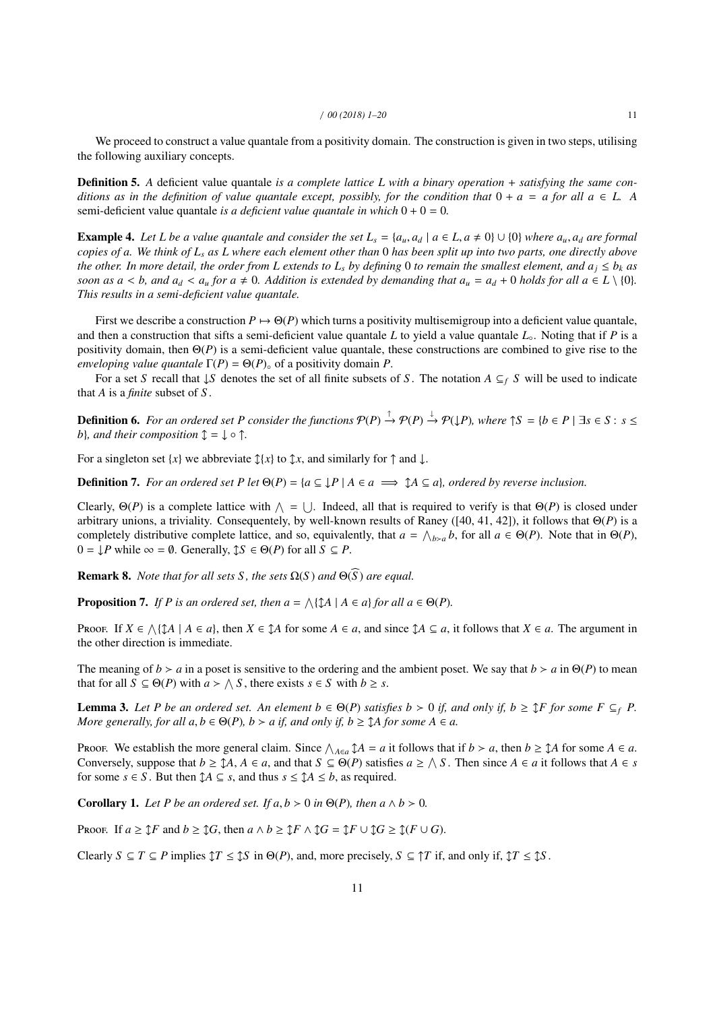We proceed to construct a value quantale from a positivity domain. The construction is given in two steps, utilising the following auxiliary concepts.

**Definition 5.** A deficient value quantale *is a complete lattice L with a binary operation* + *satisfying the same conditions as in the definition of value quantale except, possibly, for the condition that*  $0 + a = a$  *for all*  $a \in L$ . A semi-deficient value quantale *is a deficient value quantale in which* 0 + 0 = 0*.*

**Example 4.** Let L be a value quantale and consider the set  $L_s = \{a_u, a_d \mid a \in L, a \neq 0\} \cup \{0\}$  where  $a_u, a_d$  are formal *copies of a. We think of L<sup>s</sup> as L where each element other than* 0 *has been split up into two parts, one directly above the other. In more detail, the order from L extends to L<sub><i>s*</sub> by defining 0 to remain the smallest element, and  $a_j \leq b_k$  as *soon as a* < *b, and a<sub>d</sub>* < *a<sub>u</sub> for a*  $\neq$  0*. Addition is extended by demanding that*  $a_u = a_d + 0$  *holds for all*  $a \in L \setminus \{0\}$ *. This results in a semi-deficient value quantale.*

First we describe a construction  $P \mapsto \Theta(P)$  which turns a positivity multisemigroup into a deficient value quantale, and then a construction that sifts a semi-deficient value quantale  $L$  to yield a value quantale  $L<sub>o</sub>$ . Noting that if  $P$  is a positivity domain, then Θ(*P*) is a semi-deficient value quantale, these constructions are combined to give rise to the *enveloping value quantale*  $\Gamma(P) = \Theta(P)$ <sup>o</sup> of a positivity domain *P*.

For a set *S* recall that  $\downarrow$ *S* denotes the set of all finite subsets of *S*. The notation  $A \subseteq f$  *S* will be used to indicate that *A* is a *finite* subset of *S* .

**Definition 6.** For an ordered set P consider the functions  $\mathcal{P}(P) \to \mathcal{P}(P) \to \mathcal{P}(\downarrow P)$ , where  $\uparrow S = \{b \in P \mid \exists s \in S : s \leq \mathcal{P}(\downarrow P) \}$ *b*}*, and their composition*  $\mathcal{L} = \mathcal{L} \circ \mathcal{L}$ *.* 

For a singleton set  $\{x\}$  we abbreviate  $\mathcal{I}\{x\}$  to  $\mathcal{I}x$ , and similarly for  $\uparrow$  and  $\downarrow$ .

**Definition 7.** *For an ordered set P let*  $\Theta(P) = \{a \subseteq \downarrow P \mid A \in a \implies \uparrow A \subseteq a\}$ *, ordered by reverse inclusion.* 

Clearly,  $\Theta(P)$  is a complete lattice with  $\wedge = \bigcup$ . Indeed, all that is required to verify is that  $\Theta(P)$  is closed under arbitrary unions, a triviality. Consequentely, by well-known results of Raney ([40, 41, 42]), it follows that Θ(*P*) is a completely distributive complete lattice, and so, equivalently, that  $a = \bigwedge_{b>a} b$ , for all  $a \in \Theta(P)$ . Note that in  $\Theta(P)$ ,  $0 = \downarrow P$  while  $\infty = \emptyset$ . Generally,  $\updownarrow S \in \Theta(P)$  for all  $S \subseteq P$ .

**Remark 8.** *Note that for all sets* S, *the sets*  $\Omega(S)$  *and*  $\Theta(\widehat{S})$  *are equal.* 

**Proposition 7.** If P is an ordered set, then  $a = \bigwedge {\{\updownarrow} A \mid A \in a\}$  for all  $a \in \Theta(P)$ .

Proof. If  $X \in \Lambda \{ \mathcal{A} \mid A \in a \}$ , then  $X \in \mathcal{A}$  for some  $A \in a$ , and since  $\mathcal{A} \subseteq a$ , it follows that  $X \in a$ . The argument in the other direction is immediate.

The meaning of  $b > a$  in a poset is sensitive to the ordering and the ambient poset. We say that  $b > a$  in  $\Theta(P)$  to mean that for all  $S \subseteq \Theta(P)$  with  $a > \bigwedge S$ , there exists  $s \in S$  with  $b \geq s$ .

**Lemma 3.** Let P be an ordered set. An element  $b \in \Theta(P)$  satisfies  $b > 0$  if, and only if,  $b \geq \mathcal{I}$  *F* for some  $F \subseteq_f P$ . *More generally, for all*  $a, b \in \Theta(P)$ *,*  $b > a$  *if, and only if,*  $b \geq \text{\textsterling}A$  *for some A*  $\in$  *a.* 

Proof. We establish the more general claim. Since  $\bigwedge_{A \in a} \mathcal{I}A = a$  it follows that if  $b > a$ , then  $b \geq \mathcal{I}A$  for some  $A \in a$ . Conversely, suppose that  $b \geq \text{A}$ ,  $A \in a$ , and that  $S \subseteq \Theta(P)$  satisfies  $a \geq \bigwedge S$ . Then since  $A \in a$  it follows that  $A \in s$ for some  $s \in S$ . But then  $\mathcal{I} A \subseteq s$ , and thus  $s \leq \mathcal{I} A \leq b$ , as required.

**Corollary 1.** *Let P be an ordered set. If*  $a, b > 0$  *in*  $\Theta(P)$ *, then a*  $\wedge b > 0$ *.* 

Proof. If  $a \geq \mathcal{I}F$  and  $b \geq \mathcal{I}G$ , then  $a \wedge b \geq \mathcal{I}F \wedge \mathcal{I}G = \mathcal{I}F \cup \mathcal{I}G \geq \mathcal{I}(F \cup G)$ .

Clearly  $S \subseteq T \subseteq P$  implies  $\mathcal{T} \leq \mathcal{S}$  in  $\Theta(P)$ , and, more precisely,  $S \subseteq \mathcal{T}$  if, and only if,  $\mathcal{T} \leq \mathcal{S}$ .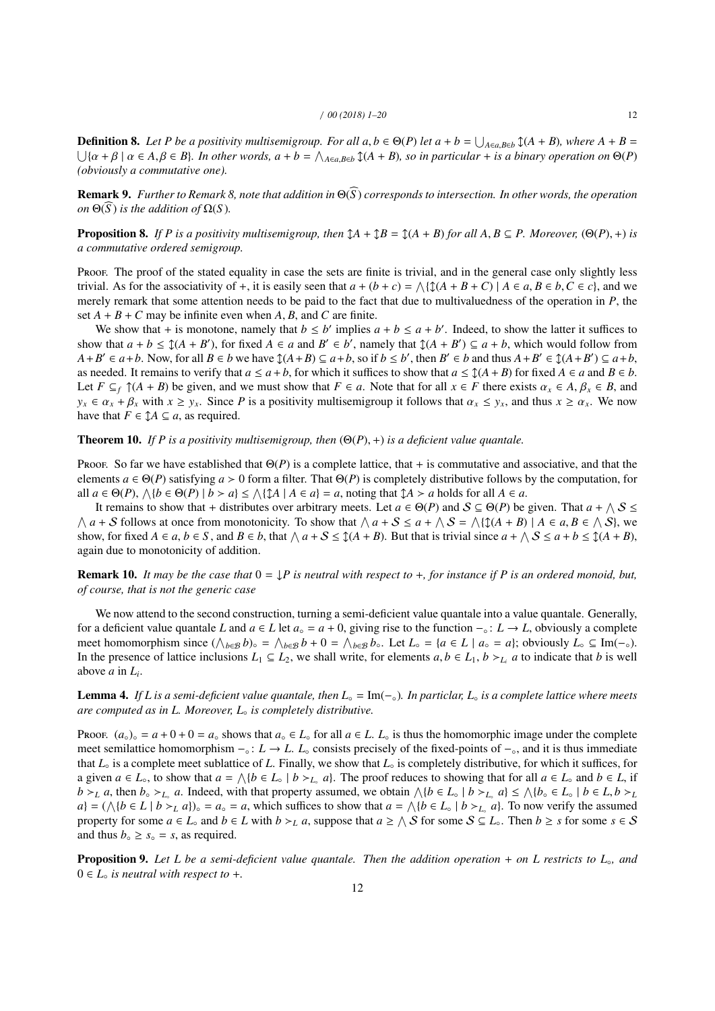**Definition 8.** *Let P be a positivity multisemigroup. For all*  $a, b \in \Theta(P)$  *<i>let*  $a + b = \bigcup_{A \in a, B \in b} \mathcal{I}(A + B)$ *, where*  $A + B = \bigcup_{\{a + b\}} \mathcal{I}(A + B)$  *a*  $\in A, \beta \in B$ . *In other words,*  $a + b = \bigwedge_{A \in a, B \in b} \mathcal{I}(A + B)$ *, so in*  $\{\alpha + \beta \mid \alpha \in A, \beta \in B\}$ . In other words,  $a + b = \bigwedge_{A \in a, B \in b} \mathfrak{I}(A + B)$ , so in particular + is a binary operation on  $\Theta(P)$ <br>byjously a commutative one) *(obviously a commutative one).*

**Remark 9.** *Further to Remark 8, note that addition in*  $\Theta(\widehat{S})$  *corresponds to intersection. In other words, the operation on*  $Θ(\overline{S})$  *is the addition of*  $Ω(S)$ *.* 

**Proposition 8.** *If P is a positivity multisemigroup, then*  $\mathcal{A} + \mathcal{A}B = \mathcal{A}(A + B)$  *for all A, B*  $\subseteq$  *P. Moreover,* ( $\Theta(P)$ *, +) is a commutative ordered semigroup.*

Proof. The proof of the stated equality in case the sets are finite is trivial, and in the general case only slightly less trivial. As for the associativity of +, it is easily seen that  $a + (b + c) = \bigwedge (\mathfrak{D}(A + B + C)) \mid A \in a, B \in b, C \in c$ , and we<br>merely remark that some attention needs to be paid to the fact that due to multivaluedness of the operatio merely remark that some attention needs to be paid to the fact that due to multivaluedness of the operation in *P*, the set  $A + B + C$  may be infinite even when A, B, and C are finite.

We show that + is monotone, namely that  $b \le b'$  implies  $a + b \le a + b'$ . Indeed, to show the latter it suffices to show that  $a + b \leq \mathcal{J}(A + B')$ , for fixed  $A \in a$  and  $B' \in b'$ , namely that  $\mathcal{J}(A + B') \subseteq a + b$ , which would follow from  $A + B' \in a + b$ . Now, for all  $B \in b$  we have  $\mathcal{L}(A + B) \subseteq a + b$ , so if  $b \le b'$ , then  $B' \in b$  and thus  $A + B' \in \mathcal{L}(A + B') \subseteq a + b$ , as needed. It remains to verify that  $a \le a + b$ , for which it suffices to show that  $a \le \mathfrak{J}(A + B)$  for fixed  $A \in a$  and  $B \in b$ . Let  $F \subseteq f (A + B)$  be given, and we must show that  $F \in a$ . Note that for all  $x \in F$  there exists  $\alpha_x \in A$ ,  $\beta_x \in B$ , and  $y_x \in \alpha_x + \beta_x$  with  $x \ge y_x$ . Since *P* is a positivity multisemigroup it follows that  $\alpha_x \le y_x$ , and thus  $x \ge \alpha_x$ . We now have that  $F \in \mathcal{A} \subseteq a$ , as required.

## Theorem 10. *If P is a positivity multisemigroup, then* (Θ(*P*), <sup>+</sup>) *is a deficient value quantale.*

Proof. So far we have established that  $\Theta(P)$  is a complete lattice, that + is commutative and associative, and that the elements  $a \in \Theta(P)$  satisfying  $a > 0$  form a filter. That  $\Theta(P)$  is completely distributive follows by the computation, for all  $a \in \Theta(P)$ ,  $\bigwedge \{b \in \Theta(P) \mid b > a\} \leq \bigwedge \{\mathcal{I} \mid A \in a\} = a$ , noting that  $\mathcal{I} A > a$  holds for all  $A \in a$ .

It remains to show that + distributes over arbitrary meets. Let  $a \in \Theta(P)$  and  $S \subseteq \Theta(P)$  be given. That  $a + \wedge S \leq \Theta(P)$  $\wedge$  *a* + *S* follows at once from monotonicity. To show that  $\wedge$  *a* + *S* ≤ *a* +  $\wedge$  *S* =  $\wedge$ {(*A* + *B*) | *A* ∈ *a*, *B* ∈  $\wedge$  *S*}, we show for fixed *A* ∈ *a*, *b* ∈ *S*, and *B* ∈ *b*, that  $\wedge$  *a* + show, for fixed  $A \in a, b \in S$ , and  $B \in b$ , that  $\bigwedge a + S \leq \mathcal{I}(A + B)$ . But that is trivial since  $a + \bigwedge S \leq a + b \leq \mathcal{I}(A + B)$ , again due to monotonicity of addition.

**Remark 10.** *It may be the case that*  $0 = \frac{1}{2}P$  *is neutral with respect to* +*, for instance if* P *is an ordered monoid, but, of course, that is not the generic case*

We now attend to the second construction, turning a semi-deficient value quantale into a value quantale. Generally, for a deficient value quantale *L* and  $a \in L$  let  $a_0 = a + 0$ , giving rise to the function  $-\circ : L \to L$ , obviously a complete meet homomorphism since  $(\bigwedge_{b \in \mathcal{B}} b)$ ∘ =  $\bigwedge_{b \in \mathcal{B}} b$  + 0 =  $\bigwedge_{b \in \mathcal{B}} b$ °. Let  $L$ ° = {*a* ∈ *L* | *a*° = *a*}; obviously  $L$ ° ⊆ Im(−°). In the presence of lattice inclusions *L*<sub>1</sub> ⊆ *L*<sub>2</sub>, we shall write, for elements *a*, *b* ∈ *L*<sub>1</sub>, *b* > *L*<sub>*i*</sub> *a* to indicate that *b* is well above *a* in *L*. above *a* in *L<sup>i</sup>* .

Lemma 4. *If L is a semi-deficient value quantale, then L*◦ = Im(−◦)*. In particlar, L*◦ *is a complete lattice where meets are computed as in L. Moreover, L*◦ *is completely distributive.*

Proof.  $(a_0)$ <sup></sup> =  $a + 0 + 0 = a_0$  shows that  $a_0 \in L$ , for all  $a \in L$ .  $L_0$  is thus the homomorphic image under the complete meet semilattice homomorphism −◦ : *L* → *L*. *L*◦ consists precisely of the fixed-points of −◦, and it is thus immediate that *L*◦ is a complete meet sublattice of *L*. Finally, we show that *L*◦ is completely distributive, for which it suffices, for *a* given *a* ∈ *L*<sup>◦</sup>, to show that *a* =  $\wedge$ {*b* ∈ *L*◦ | *b* ><sub>*L*◦</sub> *a*}. The proof reduces to showing that for all *a* ∈ *L*◦ and *b* ∈ *L* if  $b >_L a$ , then  $b_0 >_L a$ . Indeed, with that property assumed, we obtain  $\wedge \{b \in L_0 \mid b >_L a\} \le \wedge \{b_0 \in L_0 \mid b \in L, b >_L a\}$  $a$ } = ( $\wedge$ {*b* ∈ *L* | *b*  $\succ_L$  *a*}) ∘ = *a*⋅ = *a*, which suffices to show that *a* =  $\wedge$ {*b* ∈ *L*⋅ | *b*  $\succ_L$ <sub>⋅</sub> *a*}. To now verify the assumed property for some  $a \in L_0$  and  $b \in L$  with  $b \succ_L a$ , suppose that  $a \geq \bigwedge S$  for some  $S \subseteq L_0$ . Then  $b \geq s$  for some  $s \in S$ and thus  $b_{\circ} \geq s_{\circ} = s$ , as required.

Proposition 9. Let L be a semi-deficient value quantale. Then the addition operation + on L restricts to L<sub></sub><sub>°</sub>, and  $0 \in L_{\circ}$  *is neutral with respect to +.*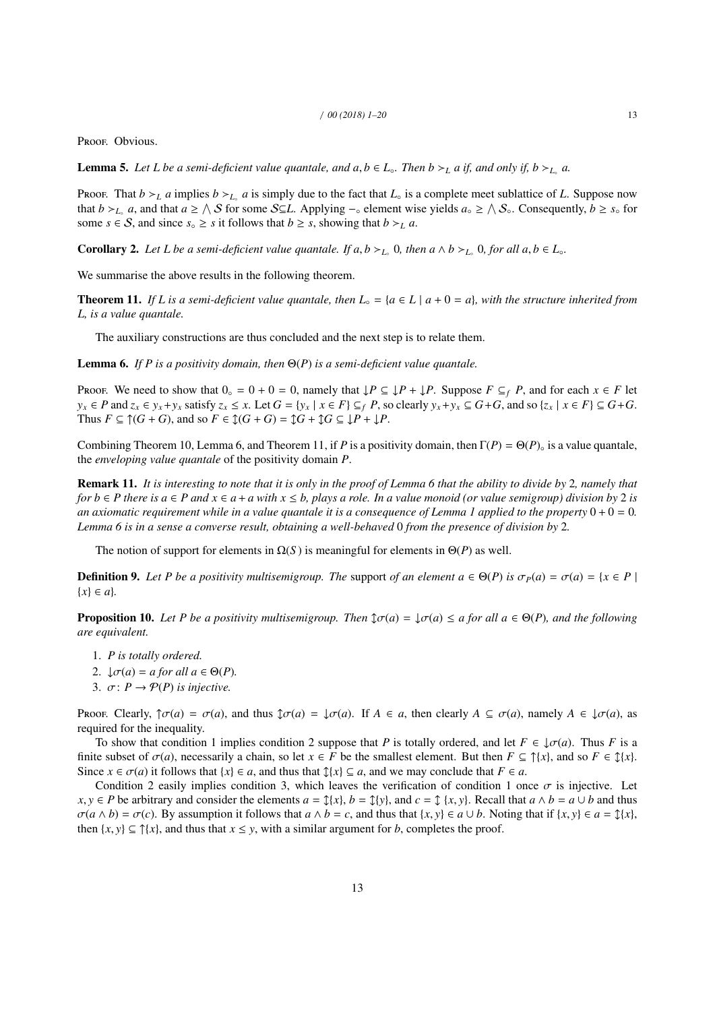PROOF. Obvious.

**Lemma 5.** *Let L be a semi-deficient value quantale, and*  $a, b \in L_{\circ}$ *. Then*  $b \succ_L a$  *if, and only if,*  $b \succ_{L_{\circ}} a$ *.* 

Proof. That  $b >_L a$  implies  $b >_{L_0} a$  is simply due to the fact that  $L_0$  is a complete meet sublattice of L. Suppose now that  $b >_{L_0} a$ , and that  $a \geq \Lambda S$  for some  $S \subseteq L$ . Applying  $-\circ$  element wise yields  $a_\circ \geq \Lambda S_\circ$ . Consequently,  $b \geq s_\circ$  for some  $s \in S$ , and since  $s \geq s$  it follows that  $b \geq s$ , showing that  $b \geq L$  *a*.

**Corollary 2.** Let L be a semi-deficient value quantale. If  $a, b >_{L_0} 0$ , then  $a \wedge b >_{L_0} 0$ , for all  $a, b \in L_0$ .

We summarise the above results in the following theorem.

**Theorem 11.** If L is a semi-deficient value quantale, then  $L_{\circ} = \{a \in L \mid a + 0 = a\}$ , with the structure inherited from *L, is a value quantale.*

The auxiliary constructions are thus concluded and the next step is to relate them.

Lemma 6. *If P is a positivity domain, then* Θ(*P*) *is a semi-deficient value quantale.*

Proof. We need to show that  $0 \circ = 0 + 0 = 0$ , namely that  $\downarrow P \subseteq \downarrow P + \downarrow P$ . Suppose  $F \subseteq_f P$ , and for each  $x \in F$  let  $y_x \in P$  and  $z_x \in y_x + y_x$  satisfy  $z_x \le x$ . Let  $G = \{y_x \mid x \in F\} \subseteq_f P$ , so clearly  $y_x + y_x \subseteq G + G$ , and so  $\{z_x \mid x \in F\} \subseteq G + G$ . Thus  $F \subseteq \mathcal{T}(G+G)$ , and so  $F \in \mathcal{L}(G+G) = \mathcal{L}G + \mathcal{L}G \subseteq \mathcal{L}P + \mathcal{L}P$ .

Combining Theorem 10, Lemma 6, and Theorem 11, if *P* is a positivity domain, then  $\Gamma(P) = \Theta(P)$ <sup>°</sup> is a value quantale, the *enveloping value quantale* of the positivity domain *P*.

Remark 11. *It is interesting to note that it is only in the proof of Lemma 6 that the ability to divide by* 2*, namely that for*  $b \in P$  *there is*  $a \in P$  *and*  $x \in a + a$  *with*  $x \le b$ *, plays a role. In a value monoid (or value semigroup) division by* 2 *is an axiomatic requirement while in a value quantale it is a consequence of Lemma 1 applied to the property*  $0 + 0 = 0$ . *Lemma 6 is in a sense a converse result, obtaining a well-behaved* 0 *from the presence of division by* 2*.*

The notion of support for elements in  $\Omega(S)$  is meaningful for elements in  $\Theta(P)$  as well.

**Definition 9.** Let P be a positivity multisemigroup. The support of an element  $a \in \Theta(P)$  is  $\sigma_P(a) = \sigma(a) = \{x \in P \mid$ {*x*} ∈ *a*}*.*

**Proposition 10.** Let P be a positivity multisemigroup. Then  $\mathfrak{J}\sigma(a) = \mathfrak{J}\sigma(a) \le a$  for all  $a \in \Theta(P)$ , and the following *are equivalent.*

- 1. *P is totally ordered.*
- 2.  $\downarrow \sigma(a) = a$  for all  $a \in \Theta(P)$ .
- 3.  $\sigma: P \rightarrow \mathcal{P}(P)$  *is injective.*

Proof. Clearly,  $\hat{\tau}\sigma(a) = \sigma(a)$ , and thus  $\hat{\tau}\sigma(a) = \tau(a)$ . If  $A \in a$ , then clearly  $A \subseteq \sigma(a)$ , namely  $A \in \tau(a)$ , as required for the inequality.

To show that condition 1 implies condition 2 suppose that *P* is totally ordered, and let  $F \in \mathcal{L}(\sigma(a))$ . Thus *F* is a finite subset of  $\sigma(a)$ , necessarily a chain, so let  $x \in F$  be the smallest element. But then  $F \subseteq \hat{\uparrow}\{x\}$ , and so  $F \in \hat{\downarrow}\{x\}$ . Since  $x \in \sigma(a)$  it follows that  $\{x\} \in a$ , and thus that  $\mathcal{I}\{x\} \subseteq a$ , and we may conclude that  $F \in a$ .

Condition 2 easily implies condition 3, which leaves the verification of condition 1 once  $\sigma$  is injective. Let *x*, *y* ∈ *P* be arbitrary and consider the elements  $a = \frac{f}{x}$ ,  $b = \frac{f}{y}$ , and  $c = \frac{f}{x}$ ,  $y$ . Recall that  $a \wedge b = a \cup b$  and thus  $\sigma(a \wedge b) = \sigma(c)$ . By assumption it follows that  $a \wedge b = c$ , and thus that  $\{x, y\} \in a \cup b$ . Noting that if  $\{x, y\} \in a = \mathcal{I}\{x\}$ , then  $\{x, y\} \subseteq \hat{\{x\}}$ , and thus that  $x \leq y$ , with a similar argument for *b*, completes the proof.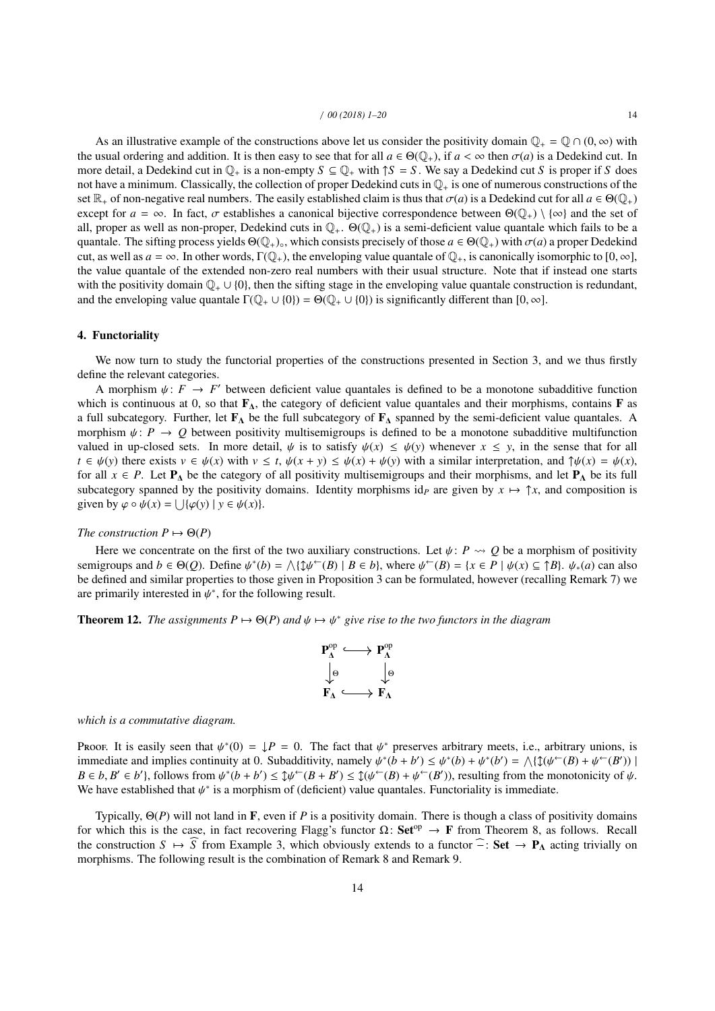As an illustrative example of the constructions above let us consider the positivity domain  $\mathbb{Q}_+ = \mathbb{Q} \cap (0, \infty)$  with the usual ordering and addition. It is then easy to see that for all  $a \in \Theta(\mathbb{Q}_+)$ , if  $a < \infty$  then  $\sigma(a)$  is a Dedekind cut. In more detail, a Dedekind cut in  $\mathbb{Q}_+$  is a non-empty  $S \subseteq \mathbb{Q}_+$  with  $\uparrow S = S$ . We say a Dedekind cut *S* is proper if *S* does not have a minimum. Classically, the collection of proper Dedekind cuts in  $\mathbb{Q}_+$  is one of numerous constructions of the set  $\mathbb{R}_+$  of non-negative real numbers. The easily established claim is thus that  $\sigma(a)$  is a Dedekind cut for all  $a \in \Theta(\mathbb{Q}_+)$ except for  $a = \infty$ . In fact,  $\sigma$  establishes a canonical bijective correspondence between  $\Theta(\mathbb{Q}_+) \setminus \{\infty\}$  and the set of all, proper as well as non-proper, Dedekind cuts in Q+. Θ(Q+) is a semi-deficient value quantale which fails to be a quantale. The sifting process yields  $\Theta(\mathbb{Q}_+)_\circ$ , which consists precisely of those  $a \in \Theta(\mathbb{Q}_+)$  with  $\sigma(a)$  a proper Dedekind cut, as well as  $a = \infty$ . In other words,  $\Gamma(\mathbb{Q}_+)$ , the enveloping value quantale of  $\mathbb{Q}_+$ , is canonically isomorphic to  $[0, \infty]$ , the value quantale of the extended non-zero real numbers with their usual structure. Note that if instead one starts with the positivity domain  $\mathbb{Q}_+ \cup \{0\}$ , then the sifting stage in the enveloping value quantale construction is redundant, and the enveloping value quantale  $\Gamma(\mathbb{Q}_+ \cup \{0\}) = \Theta(\mathbb{Q}_+ \cup \{0\})$  is significantly different than  $[0, \infty]$ .

## 4. Functoriality

We now turn to study the functorial properties of the constructions presented in Section 3, and we thus firstly define the relevant categories.

A morphism  $\psi: F \to F'$  between deficient value quantales is defined to be a monotone subadditive function ch is continuous at 0, so that  $\mathbf{F}_v$ , the category of deficient value quantales and their morphisms, contains  $\$ which is continuous at 0, so that  $\mathbf{F}_{\Lambda}$ , the category of deficient value quantales and their morphisms, contains **F** as a full subcategory. Further, let  $\mathbf{F}_{\mathbf{\Lambda}}$  be the full subcategory of  $\mathbf{F}_{\mathbf{\Lambda}}$  spanned by the semi-deficient value quantales. A morphism  $\psi: P \to Q$  between positivity multisemigroups is defined to be a monotone subadditive multifunction valued in up-closed sets. In more detail,  $\psi$  is to satisfy  $\psi(x) \leq \psi(y)$  whenever  $x \leq y$ , in the sense that for all  $t \in \psi(y)$  there exists  $v \in \psi(x)$  with  $v \leq t$ ,  $\psi(x + y) \leq \psi(x) + \psi(y)$  with a similar interpretation, and  $\psi(x) = \psi(x)$ , for all  $x \in P$ . Let  $P_{\Delta}$  be the category of all positivity multisemigroups and their morphisms, and let  $P_{\Delta}$  be its full subcategory spanned by the positivity domains. Identity morphisms id<sub>P</sub> are given by  $x \mapsto \uparrow x$ , and composition is given by  $\varphi \circ \psi(x) = \bigcup \{ \varphi(y) \mid y \in \psi(x) \}.$ 

## *The construction*  $P \mapsto \Theta(P)$

Here we concentrate on the first of the two auxiliary constructions. Let  $\psi$ : *P*  $\sim Q$  be a morphism of positivity semigroups and  $b \in \Theta(Q)$ . Define  $\psi^*(b) = \bigwedge {\{\psi^-(B) \mid B \in b\}}$ , where  $\psi^-(B) = \{x \in P \mid \psi(x) \subseteq \uparrow B\}$ .  $\psi_*(a)$  can also be defined and similar properties to those given in Proposition 3 can be formulated however (recalling be defined and similar properties to those given in Proposition 3 can be formulated, however (recalling Remark 7) we are primarily interested in  $\psi^*$ , for the following result.

**Theorem 12.** *The assignments*  $P \mapsto \Theta(P)$  *and*  $\psi \mapsto \psi^*$  *give rise to the two functors in the diagram* 

$$
\begin{array}{ccc}\n{\bf P}_{\Lambda}^{\operatorname{op}} & \stackrel{\textstyle\longleftarrow}{\longrightarrow} {\bf P}_{\Lambda}^{\operatorname{op}} \\
\downarrow^{\operatorname{\Theta}} & & \downarrow^{\operatorname{\Theta}} \\
{\bf F}_{\Lambda} & \stackrel{\textstyle\longleftarrow}{\longrightarrow} {\bf F}_{\Lambda}\n\end{array}
$$

*which is a commutative diagram.*

Proof. It is easily seen that  $\psi^*(0) = \mathbf{1}P = 0$ . The fact that  $\psi^*$  preserves arbitrary meets, i.e., arbitrary unions, is immediate and implies continuity at 0. Subadditivity namely  $\psi^*(b + b') \le \psi^*(b) + \psi^*(b') - \wedge \mathbf{1}f$ immediate and implies continuity at 0. Subadditivity, namely  $\psi^*(b + b') \leq \psi^*(b) + \psi^*(b') = \bigwedge \{ \mathfrak{J}(\psi^{\leftarrow}(B) + \psi^{\leftarrow}(B')) \mid B \in b \; R' \in b' \} \text{ follows from } \psi^*(b + b') \leq \mathfrak{J}(\psi^{\leftarrow}(B + b') \leq \mathfrak{J}(\psi^{\leftarrow}(B) + \psi^{\leftarrow}(B')) \text{ resulting from the monotonicity of } \psi^{\leftarrow}(B) \text$  $B \in b$ ,  $B' \in b'$ }, follows from  $\psi^*(b+b') \leq \psi^{\leftarrow}(B+B') \leq \psi^{\leftarrow}(B)+\psi^{\leftarrow}(B')$ ), resulting from the monotonicity of  $\psi$ .<br>We have established that  $\psi^*$  is a morphism of (deficient) value quantales. Functoriality is immedia We have established that  $\psi^*$  is a morphism of (deficient) value quantales. Functoriality is immediate.

Typically, Θ(*P*) will not land in F, even if *P* is a positivity domain. There is though a class of positivity domains for which this is the case, in fact recovering Flagg's functor  $\Omega$ : Set<sup>op</sup>  $\rightarrow$  F from Theorem 8, as follows. Recall the construction  $S \mapsto \widehat{S}$  from Example 3, which obviously extends to a functor  $\widehat{\neg}$ : Set  $\rightarrow$  P<sub>A</sub> acting trivially on morphisms. The following result is the combination of Remark 8 and Remark 9.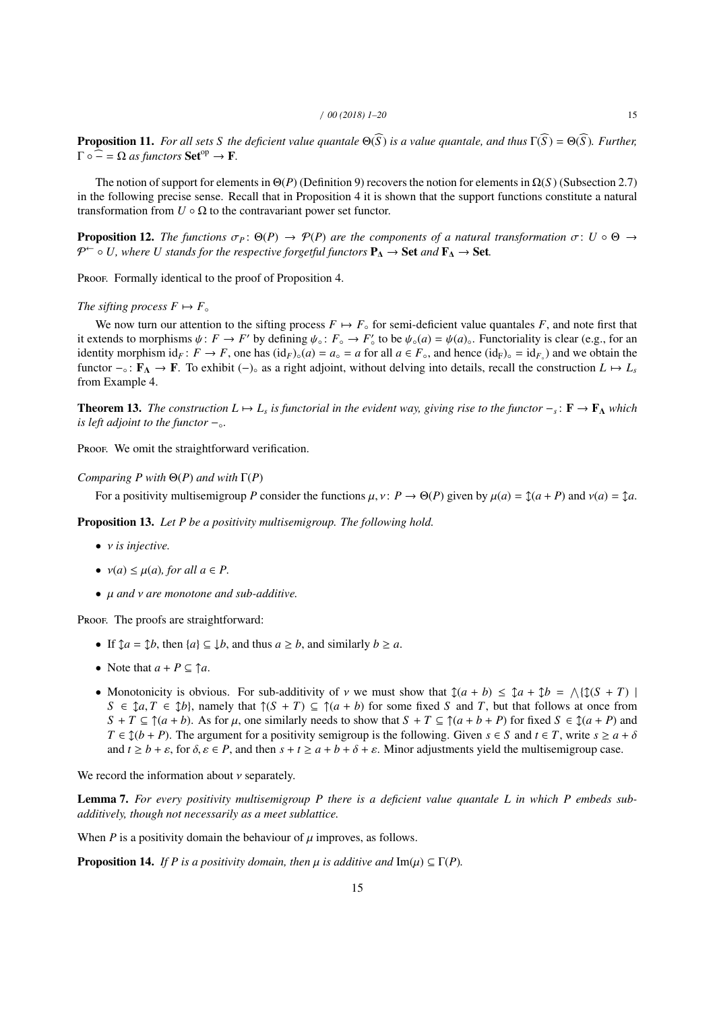**Proposition 11.** *For all sets S the deficient value quantale*  $\Theta(\widehat{S})$  *is a value quantale, and thus*  $\Gamma(\widehat{S}) = \Theta(\widehat{S})$ *. Further,*  $\Gamma \circ \widehat{=} = \Omega$  *as functors* Set<sup>op</sup>  $\rightarrow$  **F**.

The notion of support for elements in  $\Theta(P)$  (Definition 9) recovers the notion for elements in  $\Omega(S)$  (Subsection 2.7) in the following precise sense. Recall that in Proposition 4 it is shown that the support functions constitute a natural transformation from  $U \circ \Omega$  to the contravariant power set functor.

**Proposition 12.** *The functions*  $\sigma_P$ :  $\Theta(P) \to \mathcal{P}(P)$  *are the components of a natural transformation*  $\sigma$ :  $U \circ \Theta \to$ P <sup>←</sup> ◦ *U, where U stands for the respective forgetful functors* P<sup>∆</sup> → Set *and* F<sup>∆</sup> → Set*.*

Proof. Formally identical to the proof of Proposition 4.

## *The sifting process*  $F \mapsto F_{\circ}$

We now turn our attention to the sifting process  $F \mapsto F_{\circ}$  for semi-deficient value quantales *F*, and note first that it extends to morphisms  $\psi: F \to F'$  by defining  $\psi_{\circ}: F_{\circ} \to F'_{\circ}$  to be  $\psi_{\circ}(a) = \psi(a)$ . Functoriality is clear (e.g., for an identity morphism identity is clear (e.g., for an identity morphism identity is clear ( $F \to F$ identity morphism  $id_F: F \to F$ , one has  $(id_F)_{\circ}(a) = a_{\circ} = a$  for all  $a \in F_{\circ}$ , and hence  $(id_F)_{\circ} = id_{F_{\circ}}$ ) and we obtain the functor  $-\circ$ :  $\mathbf{F}_{\Lambda} \to \mathbf{F}$ . To exhibit  $(-)$ <sup>o</sup> as a right adjoint, without delving into details, recall the construction  $L \mapsto L_s$ from Example 4.

**Theorem 13.** *The construction*  $L \mapsto L_s$  *is functorial in the evident way, giving rise to the functor*  $-\frac{1}{s}$ :  $\mathbf{F} \to \mathbf{F_A}$  *which is left adjoint to the functor* −◦*.*

Proof. We omit the straightforward verification.

## *Comparing P with* Θ(*P*) *and with* Γ(*P*)

For a positivity multisemigroup P consider the functions  $\mu$ ,  $\nu$ :  $P \to \Theta(P)$  given by  $\mu(a) = \mathcal{I}(a + P)$  and  $\nu(a) = \mathcal{I}(a$ .

Proposition 13. *Let P be a positivity multisemigroup. The following hold.*

- ν *is injective.*
- $v(a) \leq \mu(a)$ , for all  $a \in P$ .
- µ *and* ν *are monotone and sub-additive.*

PROOF. The proofs are straightforward:

- If  $\mathcal{J}a = \mathcal{J}b$ , then  $\{a\} \subseteq \mathcal{J}b$ , and thus  $a \geq b$ , and similarly  $b \geq a$ .
- Note that  $a + P \subseteq \mathcal{a}$ .
- Monotonicity is obvious. For sub-additivity of *v* we must show that  $\hat{J}(a + b) \leq \hat{J}a + \hat{J}b = \langle \hat{J}(S + T) | S \in \hat{J}a, T \in \hat{J}b \rangle$  namely that  $\hat{J}(S + T) \subset \hat{J}(a + b)$  for some fixed *S* and *T* but that follows at once f  $S \in \mathcal{I}a, T \in \mathcal{I}b$ , namely that  $\mathcal{I}(S + T) \subseteq \mathcal{I}(a + b)$  for some fixed *S* and *T*, but that follows at once from  $S + T \subseteq \mathcal{T}(a + b)$ . As for  $\mu$ , one similarly needs to show that  $S + T \subseteq \mathcal{T}(a + b + P)$  for fixed  $S \in \mathcal{T}(a + P)$  and *T* ∈  $\updownarrow$  (*b* + *P*). The argument for a positivity semigroup is the following. Given *s* ∈ *S* and *t* ∈ *T*, write *s* ≥ *a* + *δ* and  $t \ge b + \varepsilon$ , for  $\delta, \varepsilon \in P$ , and then  $s + t \ge a + b + \delta + \varepsilon$ . Minor adjustments yield the multisemigroup case.

We record the information about  $\nu$  separately.

Lemma 7. *For every positivity multisemigroup P there is a deficient value quantale L in which P embeds subadditively, though not necessarily as a meet sublattice.*

When  $P$  is a positivity domain the behaviour of  $\mu$  improves, as follows.

**Proposition 14.** *If P is a positivity domain, then*  $\mu$  *is additive and*  $\text{Im}(\mu) \subseteq \Gamma(P)$ *.*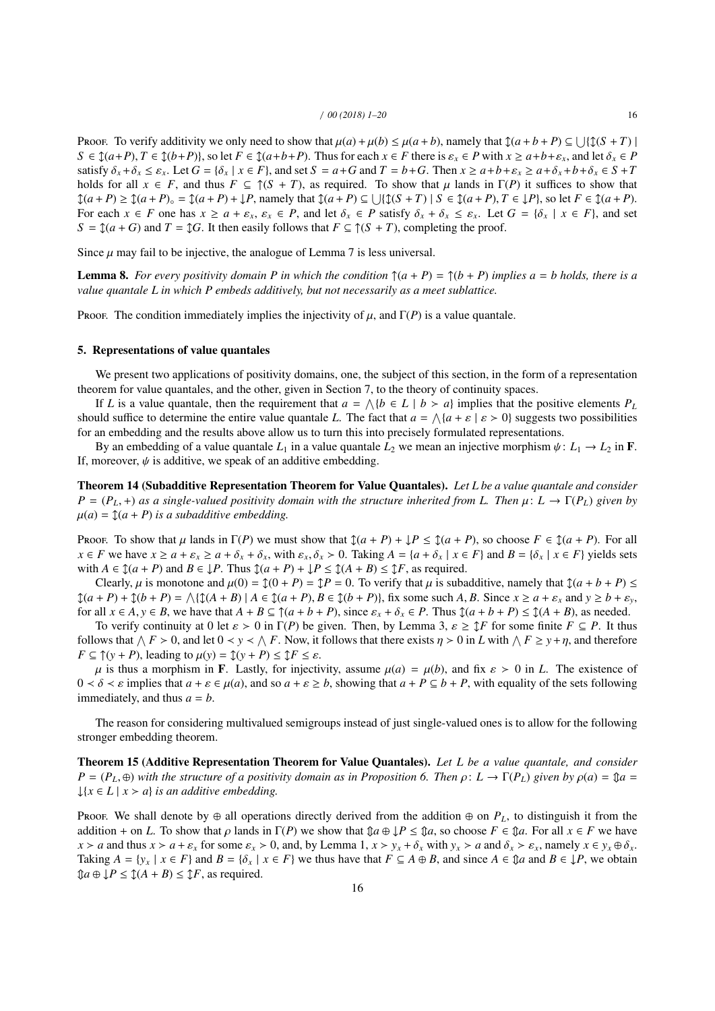Proof. To verify additivity we only need to show that  $\mu(a) + \mu(b) \le \mu(a+b)$ , namely that  $\mathcal{I}(a+b+P) \subseteq \bigcup \{\mathcal{I}(S+T) \mid S \in \mathcal{I}(a+b) \mid S \in \mathcal{I}(a+b+P) \text{ and let } \delta \in P\}$  $S \in \mathcal{L}(a+P), T \in \mathcal{L}(b+P)$ , so let  $F \in \mathcal{L}(a+b+P)$ . Thus for each  $x \in F$  there is  $\varepsilon_x \in P$  with  $x \ge a+b+\varepsilon_x$ , and let  $\delta_x \in P$ satisfy  $\delta_x + \delta_x \le \varepsilon_x$ . Let  $G = {\delta_x \mid x \in F}$ , and set  $S = a + G$  and  $T = b + G$ . Then  $x \ge a + b + \varepsilon_x \ge a + \delta_x + b + \delta_x \in S + T$ holds for all  $x \in F$ , and thus  $F \subseteq \hat{f}(S + T)$ , as required. To show that  $\mu$  lands in  $\Gamma(P)$  it suffices to show that  $\mathcal{L}(a+P) \ge \mathcal{L}(a+P)_{\circ} = \mathcal{L}(a+P) + \mathcal{L}P$ , namely that  $\mathcal{L}(a+P) \subseteq \bigcup \{\mathcal{L}(S+T) \mid S \in \mathcal{L}(a+P), T \in \mathcal{L}P\}$ , so let  $F \in \mathcal{L}(a+P)$ .<br>For each  $x \in F$  one has  $x \ge a + \varepsilon$ ,  $\varepsilon \in P$  and let  $\delta \in P$  satisfy  $\delta + \delta \le \$ For each  $x \in F$  one has  $x \ge a + \varepsilon_x$ ,  $\varepsilon_x \in P$ , and let  $\delta_x \in P$  satisfy  $\delta_x + \delta_x \le \varepsilon_x$ . Let  $G = \{\delta_x \mid x \in F\}$ , and set  $S = \mathcal{I}(a + G)$  and  $T = \mathcal{I}G$ . It then easily follows that  $F \subseteq \mathcal{I}(S + T)$ , completing the proof.

Since  $\mu$  may fail to be injective, the analogue of Lemma 7 is less universal.

**Lemma 8.** For every positivity domain P in which the condition  $\int (a + P) = \int (b + P)$  implies  $a = b$  holds, there is a *value quantale L in which P embeds additively, but not necessarily as a meet sublattice.*

Proof. The condition immediately implies the injectivity of  $\mu$ , and  $\Gamma(P)$  is a value quantale.

## 5. Representations of value quantales

We present two applications of positivity domains, one, the subject of this section, in the form of a representation theorem for value quantales, and the other, given in Section 7, to the theory of continuity spaces.

If *L* is a value quantale, then the requirement that  $a = \bigwedge \{b \in L \mid b > a\}$  implies that the positive elements  $P_L$ should suffice to determine the entire value quantale *L*. The fact that  $a = \bigwedge \{a + \varepsilon \mid \varepsilon > 0\}$  suggests two possibilities for an embedding and the results above allow us to turn this into precisely formulated repres for an embedding and the results above allow us to turn this into precisely formulated representations.

By an embedding of a value quantale  $L_1$  in a value quantale  $L_2$  we mean an injective morphism  $\psi: L_1 \to L_2$  in **F**. If, moreover,  $\psi$  is additive, we speak of an additive embedding.

Theorem 14 (Subadditive Representation Theorem for Value Quantales). *Let L be a value quantale and consider*  $P = (P_L, +)$  *as a single-valued positivity domain with the structure inherited from L. Then*  $\mu: L \to \Gamma(P_L)$  *given by*  $\mu(a) = \mathcal{I}(a + P)$  *is a subadditive embedding.* 

Proof. To show that  $\mu$  lands in  $\Gamma(P)$  we must show that  $\mathcal{J}(a + P) + \mathcal{J}P \leq \mathcal{J}(a + P)$ , so choose  $F \in \mathcal{J}(a + P)$ . For all  $x \in F$  we have  $x \ge a + \varepsilon_x \ge a + \delta_x + \delta_x$ , with  $\varepsilon_x, \delta_x > 0$ . Taking  $A = \{a + \delta_x \mid x \in F\}$  and  $B = \{\delta_x \mid x \in F\}$  yields sets with  $A \in \mathcal{L}(a + P)$  and  $B \in \mathcal{L}P$ . Thus  $\mathcal{L}(a + P) + \mathcal{L}P \leq \mathcal{L}(A + B) \leq \mathcal{L}F$ , as required.

Clearly,  $\mu$  is monotone and  $\mu(0) = \text{Im}(0 + P) = \text{Im}(P) = 0$ . To verify that  $\mu$  is subadditive, namely that  $\text{Im}(a + b + P) \le$  $\mathcal{L}(a+P) + \mathcal{L}(b+P) = \bigwedge {\mathcal{L}(A+B) | A \in \mathcal{L}(a+P), B \in \mathcal{L}(b+P)}$ , fix some such A, B. Since  $x \ge a + \varepsilon_x$  and  $y \ge b + \varepsilon_y$ ,<br>for all  $x \in A$ ,  $y \in B$ , we have that  $A + B \subset \mathcal{L}(a+b+P)$ , since  $s + \delta \in P$ . Thus  $\mathcal{L}(a+b+P) \le \mathcal{L$ for all  $x \in A$ ,  $y \in B$ , we have that  $A + B \subseteq \mathcal{T}(a + b + P)$ , since  $\varepsilon_x + \delta_x \in P$ . Thus  $\mathcal{T}(a + b + P) \leq \mathcal{T}(A + B)$ , as needed.

To verify continuity at 0 let  $\varepsilon > 0$  in  $\Gamma(P)$  be given. Then, by Lemma 3,  $\varepsilon \geq \mathcal{I}F$  for some finite  $F \subseteq P$ . It thus follows that  $\bigwedge F > 0$ , and let  $0 < y < \bigwedge F$ . Now, it follows that there exists  $\eta > 0$  in *L* with  $\bigwedge F \geq y + \eta$ , and therefore *F*  $\subseteq \uparrow$  (*y* + *P*), leading to  $\mu$  (*y*) =  $\downarrow$  (*y* + *P*)  $\leq \downarrow$  *F*  $\leq \varepsilon$ .

 $\mu$  is thus a morphism in **F**. Lastly, for injectivity, assume  $\mu(a) = \mu(b)$ , and fix  $\varepsilon > 0$  in *L*. The existence of  $0 < \delta < \varepsilon$  implies that  $a + \varepsilon \in \mu(a)$ , and so  $a + \varepsilon \ge b$ , showing that  $a + P \subseteq b + P$ , with equality of the sets following immediately, and thus  $a = b$ .

The reason for considering multivalued semigroups instead of just single-valued ones is to allow for the following stronger embedding theorem.

Theorem 15 (Additive Representation Theorem for Value Quantales). *Let L be a value quantale, and consider*  $P = (P_L, \oplus)$  *with the structure of a positivity domain as in Proposition 6. Then*  $\rho: L \to \Gamma(P_L)$  *given by*  $\rho(a) = \mathcal{D}a =$  $\downarrow$ {*x*  $\in$  *L* | *x*  $>$  *a*} *is an additive embedding.* 

Proof. We shall denote by  $\oplus$  all operations directly derived from the addition  $\oplus$  on  $P_L$ , to distinguish it from the addition + on *L*. To show that  $\rho$  lands in  $\Gamma(P)$  we show that  $\mathfrak{D}a \oplus \mathfrak{p}P \leq \mathfrak{D}a$ , so choose  $F \in \mathfrak{D}a$ . For all  $x \in F$  we have  $x > a$  and thus  $x > a + \varepsilon_x$  for some  $\varepsilon_x > 0$ , and, by Lemma 1,  $x > y_x + \delta_x$  with  $y_x > a$  and  $\delta_x > \varepsilon_x$ , namely  $x \in y_x \oplus \delta_x$ . Taking  $A = \{y_x \mid x \in F\}$  and  $B = \{\delta_x \mid x \in F\}$  we thus have that  $F \subseteq A \oplus B$ , and since  $A \in \mathcal{A}$  and  $B \in \mathcal{A}$ , we obtain  $\text{Im } P \leq \text{Im}(A + B) \leq \text{Im } F$ , as required.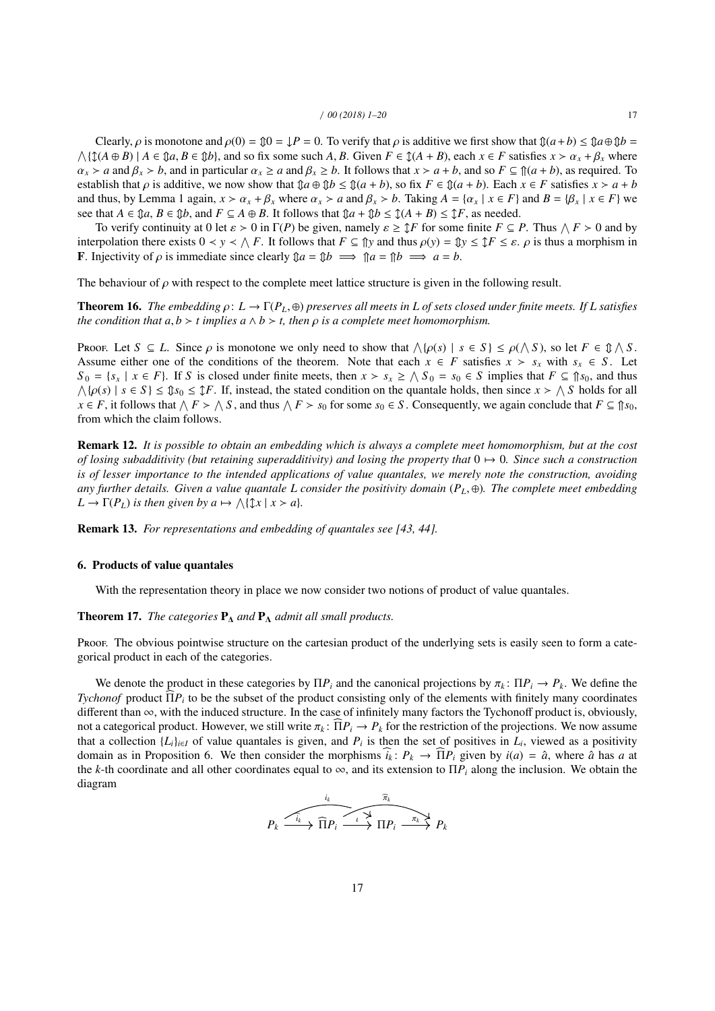Clearly,  $\rho$  is monotone and  $\rho(0) = \mathcal{D} = \mathcal{L}P = 0$ . To verify that  $\rho$  is additive we first show that  $\mathcal{D}(a+b) \le \mathcal{D}a \oplus \mathcal{D}b = \bigwedge \{\mathcal{D}(A \oplus B) \mid A \in \mathcal{D}a, B \in \mathcal{D}b\}$ , and so fix some such A, B. Given  $F \in \$  $\alpha_x > a$  and  $\beta_x > b$ , and in particular  $\alpha_x \ge a$  and  $\beta_x \ge b$ . It follows that  $x > a + b$ , and so  $F \subseteq \mathcal{P}(a + b)$ , as required. To establish that  $\rho$  is additive, we now show that  $\mathbb{Q}a \oplus \mathbb{Q}b \leq \mathbb{Q}(a + b)$ , so fix  $F \in \mathbb{Q}(a + b)$ . Each  $x \in F$  satisfies  $x > a + b$ and thus, by Lemma 1 again,  $x > \alpha_x + \beta_x$  where  $\alpha_x > a$  and  $\beta_x > b$ . Taking  $A = \{\alpha_x \mid x \in F\}$  and  $B = \{\beta_x \mid x \in F\}$  we see that  $A \in \mathcal{D}a, B \in \mathcal{D}b$ , and  $F \subseteq A \oplus B$ . It follows that  $\mathcal{D}a + \mathcal{D}b \leq \mathcal{D}(A + B) \leq \mathcal{D}F$ , as needed.

To verify continuity at 0 let  $\varepsilon > 0$  in  $\Gamma(P)$  be given, namely  $\varepsilon \geq \mathbb{I}F$  for some finite  $F \subseteq P$ . Thus  $\wedge F > 0$  and by realistion there exists  $0 \leq y \leq \wedge F$  if follows that  $F \subseteq \mathbb{N}y$  and thus  $\rho(y) = \mathbb{N}y \leq$ interpolation there exists  $0 < y < \Lambda F$ . It follows that  $F \subseteq \hat{\parallel} y$  and thus  $\rho(y) = \hat{\parallel} y \leq \hat{\parallel} F \leq \varepsilon$ .  $\rho$  is thus a morphism in<br>**F**. Injectivity of *o* is immediate since clearly  $\hat{\parallel} a - \hat{\parallel} b \longrightarrow \hat{\parallel} a - \hat{\parallel} b \longrightarrow a - b$ . **F**. Injectivity of  $\rho$  is immediate since clearly  $\mathcal{D}a = \mathcal{D}b \implies \mathcal{D}a = \mathcal{D}b \implies a = b$ .

The behaviour of  $\rho$  with respect to the complete meet lattice structure is given in the following result.

**Theorem 16.** *The embedding*  $\rho: L \to \Gamma(P_L, \oplus)$  *preserves all meets in L of sets closed under finite meets. If L satisfies the condition that*  $a, b > t$  *implies*  $a \wedge b > t$ *, then*  $\rho$  *is a complete meet homomorphism.* 

Proof. Let  $S \subseteq L$ . Since  $\rho$  is monotone we only need to show that  $\wedge {\rho(s) \mid s \in S} \leq \rho(\wedge S)$ , so let  $F \in \mathcal{D} \wedge S$ . Assume either one of the conditions of the theorem. Note that each  $x \in F$  satisfies  $x > s_x$  with  $s_x \in S$ . Let  $S_0 = \{s_x \mid x \in F\}$ . If *S* is closed under finite meets, then  $x > s_x \ge \sqrt{S_0} = s_0 \in S$  implies that  $F \subseteq \mathbb{S}_0$ , and thus  $\wedge$ { $\rho(s)$  |  $s \in S$ }  $\leq \mathcal{D}s_0 \leq \mathcal{D}F$ . If, instead, the stated condition on the quantale holds, then since  $x > \wedge S$  holds for all  $x \in F$  it follows that  $\wedge F > \wedge S$  and thus  $\wedge F > \infty$  for some  $s_0 \in S$ . Conseque  $x \in F$ , it follows that  $\land F > \land S$ , and thus  $\land F > s_0$  for some  $s_0 \in S$ . Consequently, we again conclude that  $F \subseteq \mathcal{T} s_0$ , from which the claim follows.

Remark 12. *It is possible to obtain an embedding which is always a complete meet homomorphism, but at the cost of losing subadditivity (but retaining superadditivity) and losing the property that* 0 7→ 0*. Since such a construction is of lesser importance to the intended applications of value quantales, we merely note the construction, avoiding any further details. Given a value quantale L consider the positivity domain* (*P<sup>L</sup>*, <sup>⊕</sup>)*. The complete meet embedding*  $L \to \Gamma(P_L)$  *is then given by a*  $\mapsto \bigwedge {\mathfrak{X}} x \mid x > a$ *).* 

Remark 13. *For representations and embedding of quantales see [43, 44].*

#### 6. Products of value quantales

With the representation theory in place we now consider two notions of product of value quantales.

## **Theorem 17.** *The categories*  $P_{\Lambda}$  *and*  $P_{\Lambda}$  *admit all small products.*

Proof. The obvious pointwise structure on the cartesian product of the underlying sets is easily seen to form a categorical product in each of the categories.

We denote the product in these categories by  $\Pi P_i$  and the canonical projections by  $\pi_k : \Pi P_i \to P_k$ . We define the *Tychonof* product  $\Pi P_i$  to be the subset of the product consisting only of the elements with finitely many coordinates different than  $\infty$ , with the induced structure. In the case of infinitely many factors the Tychonoff product is, obviously, not a categorical product. However, we still write  $\pi_k : \overline{\Pi} P_i \to P_k$  for the restriction of the projections. We now assume that a collection  $\{L_i\}_{i\in I}$  of value quantales is given, and  $P_i$  is then the set of positives in  $L_i$ , viewed as a positivity domain as in Proposition 6. We then consider the morphisms  $\hat{i}_k : P_k \to \hat{\Pi} P_i$  given by  $i(a) = \hat{a}$ , where  $\hat{a}$  has *a* at the *k*-th coordinate and all other coordinates equal to  $\infty$ , and its extension to  $\Pi P_i$  along the inclusion. We obtain the diagram

$$
P_k \xrightarrow{i_k} \widehat{\Pi} P_i \xrightarrow{\widehat{\pi}_k} \widehat{\Pi} P_i \xrightarrow{\widehat{\pi}_k} P_k
$$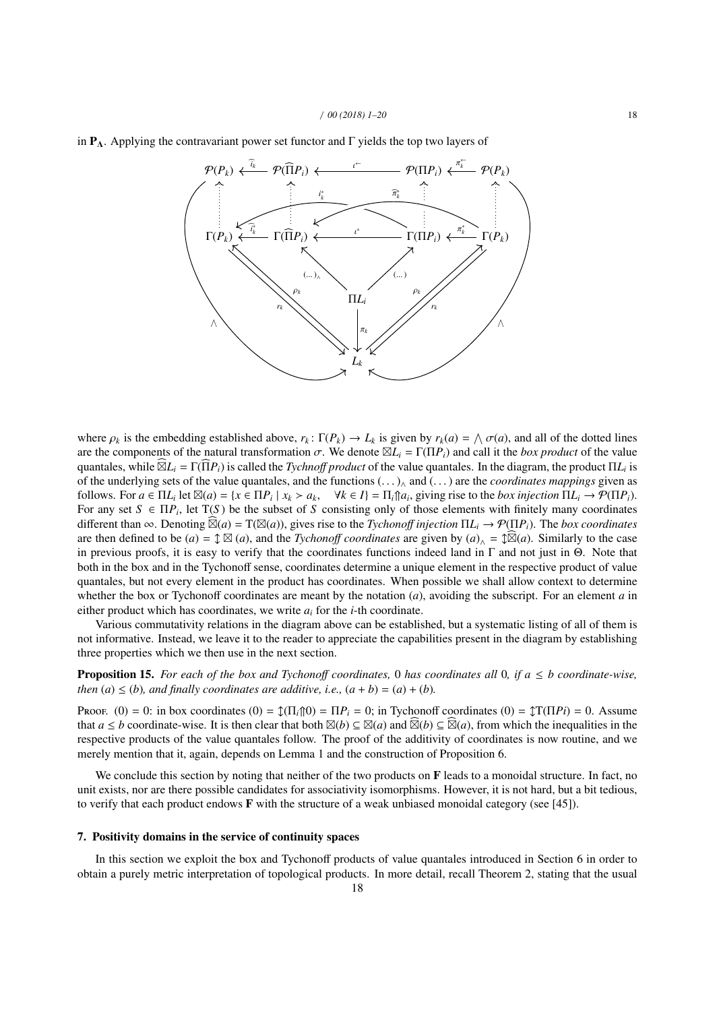



where  $\rho_k$  is the embedding established above,  $r_k \colon \Gamma(P_k) \to L_k$  is given by  $r_k(a) = \bigwedge \sigma(a)$ , and all of the dotted lines<br>are the components of the natural transformation  $\sigma$ . We denote  $\boxtimes I$ . –  $\Gamma(\Pi P)$  and call it the are the components of the natural transformation  $\sigma$ . We denote  $\boxtimes L_i = \Gamma(\Pi P_i)$  and call it the *box product* of the value<br>quantales while  $\widehat{\boxtimes} I_i$  =  $\Gamma(\widehat{\Pi} P_i)$  is called the *Tychnoff product* of the value quantal quantales, while  $\widehat{\boxtimes} L_i = \Gamma(\widehat{\Pi} P_i)$  is called the *Tychnoff product* of the value quantales. In the diagram, the product  $\Pi L_i$  is of the underlying sets of the value quantales, and the functions (. . . )<sup>∧</sup> and (. . . ) are the *coordinates mappings* given as follows. For  $a \in \Pi L_i$  let  $\mathbb{Z}(a) = \{x \in \Pi P_i \mid x_k > a_k, \forall k \in I\} = \Pi_i \parallel a_i$ , giving rise to the *box injection*  $\Pi L_i \rightarrow \mathcal{P}(\Pi P_i)$ .<br>For any set  $S \subseteq \Pi P_i$  let  $T(S)$  be the subset of S consisting only of those elements with fi For any set  $S \in \Pi P_i$ , let  $T(S)$  be the subset of *S* consisting only of those elements with finitely many coordinates different than  $\infty$ . Denoting  $\widehat{\boxtimes}(a) = T(\boxtimes(a))$ , gives rise to the *Tychonoff injection*  $\Pi L_i \to \mathcal{P}(\Pi P_i)$ . The *box coordinates* are then defined to be  $(a) = \text{Im}(a)$ , and the *Tychonoff coordinates* are given by  $(a)_{\wedge} = \text{Im}(a)$ . Similarly to the case in previous proofs, it is easy to verify that the coordinates functions indeed land in  $\Gamma$  and not just in  $\Theta$ . Note that both in the box and in the Tychonoff sense, coordinates determine a unique element in the respective product of value quantales, but not every element in the product has coordinates. When possible we shall allow context to determine whether the box or Tychonoff coordinates are meant by the notation (*a*), avoiding the subscript. For an element *a* in either product which has coordinates, we write *a<sup>i</sup>* for the *i*-th coordinate.

Various commutativity relations in the diagram above can be established, but a systematic listing of all of them is not informative. Instead, we leave it to the reader to appreciate the capabilities present in the diagram by establishing three properties which we then use in the next section.

**Proposition 15.** For each of the box and Tychonoff coordinates, 0 has coordinates all 0, if  $a \leq b$  coordinate-wise, *then*  $(a) \le (b)$ *, and finally coordinates are additive, i.e.,*  $(a + b) = (a) + (b)$ *.* 

Proof. (0) = 0: in box coordinates (0) =  $\mathcal{J}(\Pi_i \cap 0) = \Pi P_i = 0$ ; in Tychonoff coordinates (0) =  $\mathcal{J}(\Pi P_i) = 0$ . Assume that *a* ≤ *b* coordinate-wise. It is then clear that both  $\mathbb{Z}(b) \subseteq \mathbb{Z}(a)$  and  $\widehat{\mathbb{Z}}(b) \subseteq \widehat{\mathbb{Z}}(a)$ , from which the inequalities in the respective products of the value quantales follow. The proof of the additivity of coordinates is now routine, and we merely mention that it, again, depends on Lemma 1 and the construction of Proposition 6.

We conclude this section by noting that neither of the two products on  $\bf{F}$  leads to a monoidal structure. In fact, no unit exists, nor are there possible candidates for associativity isomorphisms. However, it is not hard, but a bit tedious, to verify that each product endows F with the structure of a weak unbiased monoidal category (see [45]).

## 7. Positivity domains in the service of continuity spaces

In this section we exploit the box and Tychonoff products of value quantales introduced in Section 6 in order to obtain a purely metric interpretation of topological products. In more detail, recall Theorem 2, stating that the usual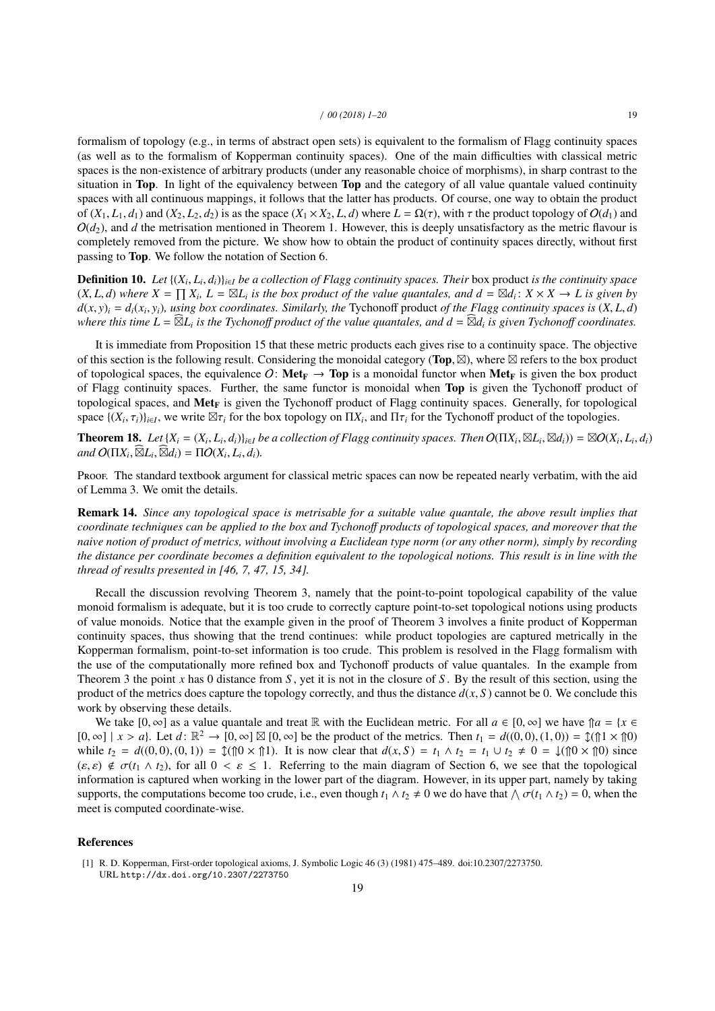formalism of topology (e.g., in terms of abstract open sets) is equivalent to the formalism of Flagg continuity spaces (as well as to the formalism of Kopperman continuity spaces). One of the main difficulties with classical metric spaces is the non-existence of arbitrary products (under any reasonable choice of morphisms), in sharp contrast to the situation in Top. In light of the equivalency between Top and the category of all value quantale valued continuity spaces with all continuous mappings, it follows that the latter has products. Of course, one way to obtain the product of  $(X_1, L_1, d_1)$  and  $(X_2, L_2, d_2)$  is as the space  $(X_1 \times X_2, L, d)$  where  $L = \Omega(\tau)$ , with  $\tau$  the product topology of  $O(d_1)$  and  $O(d_2)$ , and *d* the metrisation mentioned in Theorem 1. However, this is deeply unsatisfactory as the metric flavour is completely removed from the picture. We show how to obtain the product of continuity spaces directly, without first passing to Top. We follow the notation of Section 6.

**Definition 10.** *Let*  $\{(X_i, L_i, d_i)\}_{i \in I}$  *be a collection of Flagg continuity spaces. Their* box product *is the continuity space*  $(X, I, d)$  where  $X - \Pi X$ ,  $I - \boxtimes I$ , *is the box product of the value quantales, and*  $d - \box$  $(X, L, d)$  where  $X = \prod_i X_i$ ,  $L = \boxtimes L_i$  is the box product of the value quantales, and  $d = \boxtimes d_i : X \times X \to L$  is given by  $d(x, y) = d_i(x, y)$ , using hox coordinates. Similarly, the Typhonoff product of the Elgan continuity spaces is  $(X$  $d(x, y)_i = d_i(x_i, y_i)$ , using box coordinates. Similarly, the Tychonoff product of the Flagg continuity spaces is  $(X, L, d)$ <br>where this time  $I - \widehat{\boxtimes} I$ , is the Tychonoff product of the value quantales, and  $d - \widehat{\boxtimes} d$ , is giv where this time  $L = \widehat{\boxtimes} L_i$  is the Tychonoff product of the value quantales, and  $d = \widehat{\boxtimes} d_i$  is given Tychonoff coordinates.

It is immediate from Proposition 15 that these metric products each gives rise to a continuity space. The objective of this section is the following result. Considering the monoidal category (**Top**,  $\boxtimes$ ), where  $\boxtimes$  refers to the box product<br>of topological spaces, the equivalence  $\Omega$ : Met<sub>e</sub>  $\rightarrow$  Top is a monoidal functor when Met<sub></sub> of topological spaces, the equivalence O:  $\text{Met}_{\text{F}} \to \text{Top}$  is a monoidal functor when  $\text{Met}_{\text{F}}$  is given the box product of Flagg continuity spaces. Further, the same functor is monoidal when Top is given the Tychonoff product of topological spaces, and  $Met_F$  is given the Tychonoff product of Flagg continuity spaces. Generally, for topological space  $\{(X_i, \tau_i)\}_{i \in I}$ , we write  $\boxtimes \tau_i$  for the box topology on  $\Pi X_i$ , and  $\Pi \tau_i$  for the Tychonoff product of the topologies.

**Theorem 18.** Let  $\{X_i = (X_i, L_i, d_i)\}_{i \in I}$  be a collection of Flagg continuity spaces. Then  $O(\Pi X_i, \boxtimes L_i, \boxtimes d_i) = \boxtimes O(X_i, L_i, d_i)$ <br>and  $O(\Pi X_i, \widehat{\boxtimes} d_i) = \Pi O(X_i, L_i, d_i)$  $and$   $O(\Pi X_i, \widehat{\boxtimes} L_i, \widehat{\boxtimes} d_i) = \Pi O(X_i, L_i, d_i).$ 

Proof. The standard textbook argument for classical metric spaces can now be repeated nearly verbatim, with the aid of Lemma 3. We omit the details.

Remark 14. *Since any topological space is metrisable for a suitable value quantale, the above result implies that coordinate techniques can be applied to the box and Tychono*ff *products of topological spaces, and moreover that the naive notion of product of metrics, without involving a Euclidean type norm (or any other norm), simply by recording the distance per coordinate becomes a definition equivalent to the topological notions. This result is in line with the thread of results presented in [46, 7, 47, 15, 34].*

Recall the discussion revolving Theorem 3, namely that the point-to-point topological capability of the value monoid formalism is adequate, but it is too crude to correctly capture point-to-set topological notions using products of value monoids. Notice that the example given in the proof of Theorem 3 involves a finite product of Kopperman continuity spaces, thus showing that the trend continues: while product topologies are captured metrically in the Kopperman formalism, point-to-set information is too crude. This problem is resolved in the Flagg formalism with the use of the computationally more refined box and Tychonoff products of value quantales. In the example from Theorem 3 the point *x* has 0 distance from *S* , yet it is not in the closure of *S* . By the result of this section, using the product of the metrics does capture the topology correctly, and thus the distance  $d(x, S)$  cannot be 0. We conclude this work by observing these details.

We take  $[0, \infty]$  as a value quantale and treat R with the Euclidean metric. For all  $a \in [0, \infty]$  we have  $\mathcal{D}a = \{x \in \mathcal{D}\}$  $[0, \infty] \mid x > a$ . Let  $d \colon \mathbb{R}^2 \to [0, \infty] \boxtimes [0, \infty]$  be the product of the metrics. Then  $t_1 = d((0, 0), (1, 0)) = \mathbb{1}(\uparrow 1 \times \uparrow 0)$ <br>while  $t_2 = d((0, 0), (0, 1)) = \mathbb{1}(\uparrow 0 \times \uparrow 1)$ . It is now clear that  $d(x, S) = t_1 \wedge t_2 = t_1 \cup t_$ while  $t_2 = d((0, 0), (0, 1)) = \text{Im}(0 \times \text{Im}1)$ . It is now clear that  $d(x, S) = t_1 \wedge t_2 = t_1 \cup t_2 \neq 0 = \text{Im}(0 \times \text{Im}0)$  since  $(\varepsilon, \varepsilon) \notin \sigma(t_1 \wedge t_2)$ , for all  $0 < \varepsilon \le 1$ . Referring to the main diagram of Section 6, we see that the topological information is captured when working in the lower part of the diagram. However, in its upper part, namely by taking supports, the computations become too crude, i.e., even though  $t_1 \wedge t_2 \neq 0$  we do have that  $\wedge \sigma(t_1 \wedge t_2) = 0$ , when the meet is computed coordinate-wise.

# References

<sup>[1]</sup> R. D. Kopperman, First-order topological axioms, J. Symbolic Logic 46 (3) (1981) 475–489. doi:10.2307/2273750. URL http://dx.doi.org/10.2307/2273750